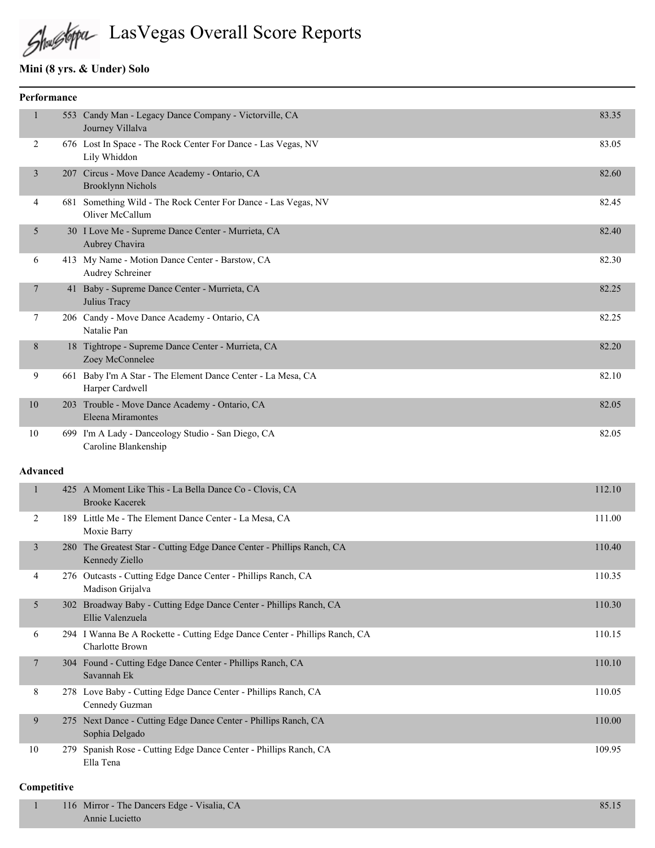# LasVegas Overall Score Reports

# **Mini (8 yrs. & Under) Solo**

| Performance     |                                                                                          |        |
|-----------------|------------------------------------------------------------------------------------------|--------|
| 1               | 553 Candy Man - Legacy Dance Company - Victorville, CA<br>Journey Villalva               | 83.35  |
| 2               | 676 Lost In Space - The Rock Center For Dance - Las Vegas, NV<br>Lily Whiddon            | 83.05  |
| $\mathfrak{Z}$  | 207 Circus - Move Dance Academy - Ontario, CA<br><b>Brooklynn Nichols</b>                | 82.60  |
| 4               | 681 Something Wild - The Rock Center For Dance - Las Vegas, NV<br>Oliver McCallum        | 82.45  |
| 5               | 30 I Love Me - Supreme Dance Center - Murrieta, CA<br>Aubrey Chavira                     | 82.40  |
| 6               | 413 My Name - Motion Dance Center - Barstow, CA<br>Audrey Schreiner                      | 82.30  |
| 7               | 41 Baby - Supreme Dance Center - Murrieta, CA<br>Julius Tracy                            | 82.25  |
| 7               | 206 Candy - Move Dance Academy - Ontario, CA<br>Natalie Pan                              | 82.25  |
| 8               | 18 Tightrope - Supreme Dance Center - Murrieta, CA<br>Zoey McConnelee                    | 82.20  |
| 9               | 661 Baby I'm A Star - The Element Dance Center - La Mesa, CA<br>Harper Cardwell          | 82.10  |
| $10\,$          | 203 Trouble - Move Dance Academy - Ontario, CA<br>Eleena Miramontes                      | 82.05  |
| 10              | 699 I'm A Lady - Danceology Studio - San Diego, CA<br>Caroline Blankenship               | 82.05  |
| <b>Advanced</b> |                                                                                          |        |
| $\mathbf{1}$    | 425 A Moment Like This - La Bella Dance Co - Clovis, CA<br><b>Brooke Kacerek</b>         | 112.10 |
| 2               | 189 Little Me - The Element Dance Center - La Mesa, CA<br>Moxie Barry                    | 111.00 |
| $\mathfrak{Z}$  | 280 The Greatest Star - Cutting Edge Dance Center - Phillips Ranch, CA<br>Kennedy Ziello | 110.40 |
| 4               | 276 Outcasts - Cutting Edge Dance Center - Phillips Ranch, CA<br>Madison Grijalva        | 110.35 |
| 5               | 302 Broadway Baby - Cutting Edge Dance Center - Phillips Ranch, CA<br>Ellie Valenzuela   | 110.30 |

|    | Ellie Valenzuela                                                                              |        |
|----|-----------------------------------------------------------------------------------------------|--------|
| 6  | 294 I Wanna Be A Rockette - Cutting Edge Dance Center - Phillips Ranch, CA<br>Charlotte Brown | 110.15 |
|    | 304 Found - Cutting Edge Dance Center - Phillips Ranch, CA<br>Savannah Ek                     | 110.10 |
| 8  | 278 Love Baby - Cutting Edge Dance Center - Phillips Ranch, CA<br>Cennedy Guzman              | 110.05 |
| 9  | 275 Next Dance - Cutting Edge Dance Center - Phillips Ranch, CA<br>Sophia Delgado             | 110.00 |
| 10 | 279 Spanish Rose - Cutting Edge Dance Center - Phillips Ranch, CA<br>Ella Tena                | 109.95 |

| 116 Mirror - The Dancers Edge - Visalia, CA |  |
|---------------------------------------------|--|
| Annie Lucietto                              |  |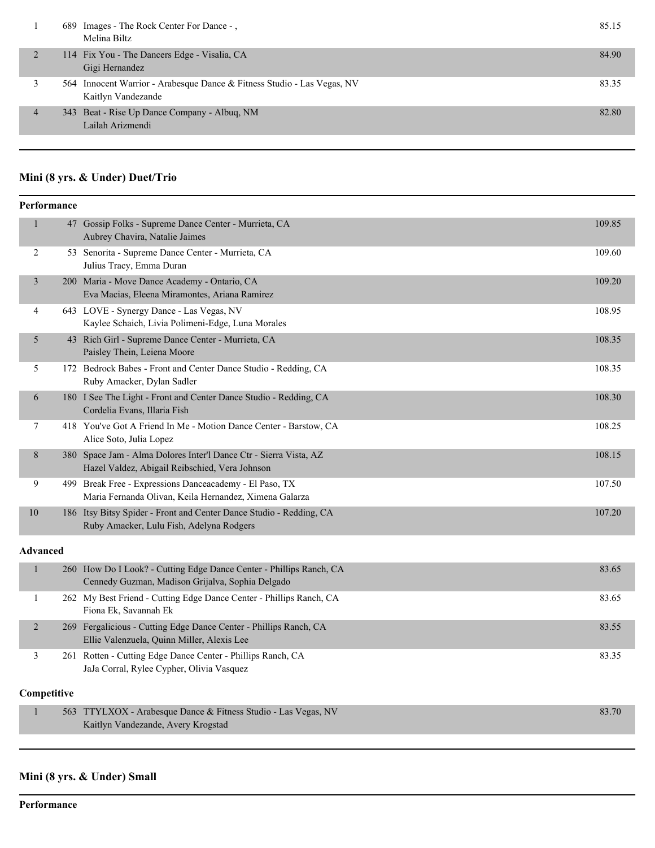|   | 689 Images - The Rock Center For Dance -,<br>Melina Biltz                                     | 85.15 |
|---|-----------------------------------------------------------------------------------------------|-------|
|   | 114 Fix You - The Dancers Edge - Visalia, CA<br>Gigi Hernandez                                | 84.90 |
|   | 564 Innocent Warrior - Arabesque Dance & Fitness Studio - Las Vegas, NV<br>Kaitlyn Vandezande | 83.35 |
| 4 | 343 Beat - Rise Up Dance Company - Albuq, NM<br>Lailah Arizmendi                              | 82.80 |
|   |                                                                                               |       |

# **Mini (8 yrs. & Under) Duet/Trio**

|                 | Performance |                                                                                                                         |        |  |  |
|-----------------|-------------|-------------------------------------------------------------------------------------------------------------------------|--------|--|--|
| 1               |             | 47 Gossip Folks - Supreme Dance Center - Murrieta, CA<br>Aubrey Chavira, Natalie Jaimes                                 | 109.85 |  |  |
| 2               |             | 53 Senorita - Supreme Dance Center - Murrieta, CA<br>Julius Tracy, Emma Duran                                           | 109.60 |  |  |
| 3               |             | 200 Maria - Move Dance Academy - Ontario, CA<br>Eva Macias, Eleena Miramontes, Ariana Ramirez                           | 109.20 |  |  |
| 4               |             | 643 LOVE - Synergy Dance - Las Vegas, NV<br>Kaylee Schaich, Livia Polimeni-Edge, Luna Morales                           | 108.95 |  |  |
| 5               |             | 43 Rich Girl - Supreme Dance Center - Murrieta, CA<br>Paisley Thein, Leiena Moore                                       | 108.35 |  |  |
| 5               |             | 172 Bedrock Babes - Front and Center Dance Studio - Redding, CA<br>Ruby Amacker, Dylan Sadler                           | 108.35 |  |  |
| 6               |             | 180 I See The Light - Front and Center Dance Studio - Redding, CA<br>Cordelia Evans, Illaria Fish                       | 108.30 |  |  |
| 7               |             | 418 You've Got A Friend In Me - Motion Dance Center - Barstow, CA<br>Alice Soto, Julia Lopez                            | 108.25 |  |  |
| 8               |             | 380 Space Jam - Alma Dolores Inter'l Dance Ctr - Sierra Vista, AZ<br>Hazel Valdez, Abigail Reibschied, Vera Johnson     | 108.15 |  |  |
| 9               |             | 499 Break Free - Expressions Danceacademy - El Paso, TX<br>Maria Fernanda Olivan, Keila Hernandez, Ximena Galarza       | 107.50 |  |  |
| 10              |             | 186 Itsy Bitsy Spider - Front and Center Dance Studio - Redding, CA<br>Ruby Amacker, Lulu Fish, Adelyna Rodgers         | 107.20 |  |  |
| <b>Advanced</b> |             |                                                                                                                         |        |  |  |
| $\mathbf{1}$    |             | 260 How Do I Look? - Cutting Edge Dance Center - Phillips Ranch, CA<br>Cennedy Guzman, Madison Grijalva, Sophia Delgado | 83.65  |  |  |
| 1               |             | 262 My Best Friend - Cutting Edge Dance Center - Phillips Ranch, CA<br>Fiona Ek, Savannah Ek                            | 83.65  |  |  |
| $\overline{2}$  |             | 269 Fergalicious - Cutting Edge Dance Center - Phillips Ranch, CA<br>Ellie Valenzuela, Quinn Miller, Alexis Lee         | 83.55  |  |  |
| 3               |             | 261 Rotten - Cutting Edge Dance Center - Phillips Ranch, CA<br>JaJa Corral, Rylee Cypher, Olivia Vasquez                | 83.35  |  |  |
|                 | Competitive |                                                                                                                         |        |  |  |
| $\mathbf{1}$    |             | 563 TTYLXOX - Arabesque Dance & Fitness Studio - Las Vegas, NV<br>Kaitlyn Vandezande, Avery Krogstad                    | 83.70  |  |  |
|                 |             |                                                                                                                         |        |  |  |

# **Mini (8 yrs. & Under) Small**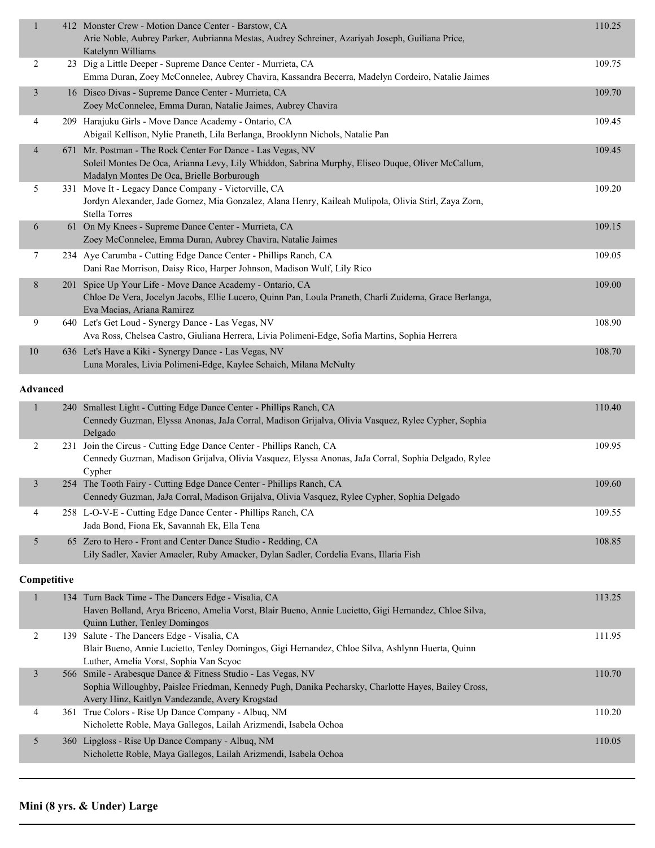| $\mathbf{1}$    |     | 412 Monster Crew - Motion Dance Center - Barstow, CA<br>Arie Noble, Aubrey Parker, Aubrianna Mestas, Audrey Schreiner, Azariyah Joseph, Guiliana Price,<br>Katelynn Williams                                 | 110.25 |
|-----------------|-----|--------------------------------------------------------------------------------------------------------------------------------------------------------------------------------------------------------------|--------|
| 2               |     | 23 Dig a Little Deeper - Supreme Dance Center - Murrieta, CA<br>Emma Duran, Zoey McConnelee, Aubrey Chavira, Kassandra Becerra, Madelyn Cordeiro, Natalie Jaimes                                             | 109.75 |
| $\overline{3}$  |     | 16 Disco Divas - Supreme Dance Center - Murrieta, CA<br>Zoey McConnelee, Emma Duran, Natalie Jaimes, Aubrey Chavira                                                                                          | 109.70 |
| 4               |     | 209 Harajuku Girls - Move Dance Academy - Ontario, CA<br>Abigail Kellison, Nylie Praneth, Lila Berlanga, Brooklynn Nichols, Natalie Pan                                                                      | 109.45 |
| $\overline{4}$  |     | 671 Mr. Postman - The Rock Center For Dance - Las Vegas, NV<br>Soleil Montes De Oca, Arianna Levy, Lily Whiddon, Sabrina Murphy, Eliseo Duque, Oliver McCallum,<br>Madalyn Montes De Oca, Brielle Borburough | 109.45 |
| 5               |     | 331 Move It - Legacy Dance Company - Victorville, CA<br>Jordyn Alexander, Jade Gomez, Mia Gonzalez, Alana Henry, Kaileah Mulipola, Olivia Stirl, Zaya Zorn,<br><b>Stella Torres</b>                          | 109.20 |
| 6               |     | 61 On My Knees - Supreme Dance Center - Murrieta, CA<br>Zoey McConnelee, Emma Duran, Aubrey Chavira, Natalie Jaimes                                                                                          | 109.15 |
| 7               |     | 234 Aye Carumba - Cutting Edge Dance Center - Phillips Ranch, CA<br>Dani Rae Morrison, Daisy Rico, Harper Johnson, Madison Wulf, Lily Rico                                                                   | 109.05 |
| $8\phantom{.}$  |     | 201 Spice Up Your Life - Move Dance Academy - Ontario, CA<br>Chloe De Vera, Jocelyn Jacobs, Ellie Lucero, Quinn Pan, Loula Praneth, Charli Zuidema, Grace Berlanga,<br>Eva Macias, Ariana Ramirez            | 109.00 |
| 9               |     | 640 Let's Get Loud - Synergy Dance - Las Vegas, NV<br>Ava Ross, Chelsea Castro, Giuliana Herrera, Livia Polimeni-Edge, Sofia Martins, Sophia Herrera                                                         | 108.90 |
| $10\,$          |     | 636 Let's Have a Kiki - Synergy Dance - Las Vegas, NV<br>Luna Morales, Livia Polimeni-Edge, Kaylee Schaich, Milana McNulty                                                                                   | 108.70 |
| <b>Advanced</b> |     |                                                                                                                                                                                                              |        |
| 1               | 240 | Smallest Light - Cutting Edge Dance Center - Phillips Ranch, CA<br>Cennedy Guzman, Elyssa Anonas, JaJa Corral, Madison Grijalva, Olivia Vasquez, Rylee Cypher, Sophia<br>Delgado                             | 110.40 |
| $\overline{2}$  |     | 231 Join the Circus - Cutting Edge Dance Center - Phillips Ranch, CA<br>Cennedy Guzman, Madison Grijalva, Olivia Vasquez, Elyssa Anonas, JaJa Corral, Sophia Delgado, Rylee                                  | 109.95 |

|  | Cvpher                                                                                      |        |
|--|---------------------------------------------------------------------------------------------|--------|
|  | 254 The Tooth Fairy - Cutting Edge Dance Center - Phillips Ranch, CA                        | 109.60 |
|  | Cennedy Guzman, JaJa Corral, Madison Grijalva, Olivia Vasquez, Rylee Cypher, Sophia Delgado |        |
|  | 258 L-O-V-E - Cutting Edge Dance Center - Phillips Ranch, CA                                | 109.55 |
|  | Jada Bond, Fiona Ek, Savannah Ek, Ella Tena                                                 |        |
|  | 65 Zero to Hero - Front and Center Dance Studio - Redding, CA                               | 108.85 |
|  | Lily Sadler, Xavier Amacler, Ruby Amacker, Dylan Sadler, Cordelia Evans, Illaria Fish       |        |

|   | 134 Turn Back Time - The Dancers Edge - Visalia, CA<br>Haven Bolland, Arya Briceno, Amelia Vorst, Blair Bueno, Annie Lucietto, Gigi Hernandez, Chloe Silva,<br><b>Quinn Luther, Tenley Domingos</b>                   | 113.25 |
|---|-----------------------------------------------------------------------------------------------------------------------------------------------------------------------------------------------------------------------|--------|
| 2 | 139 Salute - The Dancers Edge - Visalia, CA<br>Blair Bueno, Annie Lucietto, Tenley Domingos, Gigi Hernandez, Chloe Silva, Ashlynn Huerta, Quinn<br>Luther, Amelia Vorst, Sophia Van Scyoc                             | 111.95 |
| 3 | 566 Smile - Arabesque Dance & Fitness Studio - Las Vegas, NV<br>Sophia Willoughby, Paislee Friedman, Kennedy Pugh, Danika Pecharsky, Charlotte Hayes, Bailey Cross,<br>Avery Hinz, Kaitlyn Vandezande, Avery Krogstad | 110.70 |
| 4 | 361 True Colors - Rise Up Dance Company - Albuq, NM<br>Nicholette Roble, Maya Gallegos, Lailah Arizmendi, Isabela Ochoa                                                                                               | 110.20 |
| 5 | 360 Lipgloss - Rise Up Dance Company - Albuq, NM<br>Nicholette Roble, Maya Gallegos, Lailah Arizmendi, Isabela Ochoa                                                                                                  | 110.05 |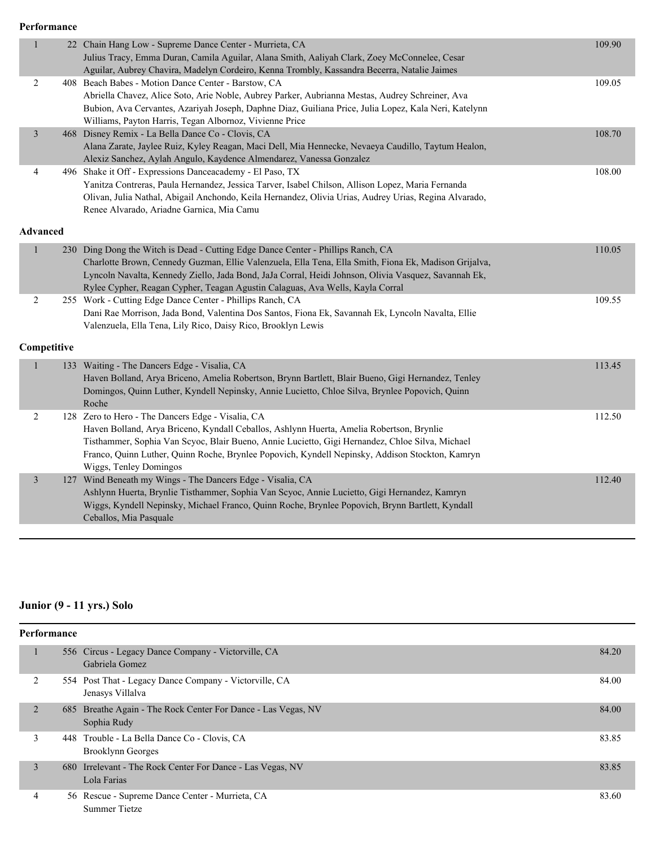**Performance**

| $\mathbf{1}$            |                 | 22 Chain Hang Low - Supreme Dance Center - Murrieta, CA<br>Julius Tracy, Emma Duran, Camila Aguilar, Alana Smith, Aaliyah Clark, Zoey McConnelee, Cesar | 109.90 |
|-------------------------|-----------------|---------------------------------------------------------------------------------------------------------------------------------------------------------|--------|
|                         |                 | Aguilar, Aubrey Chavira, Madelyn Cordeiro, Kenna Trombly, Kassandra Becerra, Natalie Jaimes                                                             |        |
| $\overline{2}$          |                 | 408 Beach Babes - Motion Dance Center - Barstow, CA                                                                                                     | 109.05 |
|                         |                 | Abriella Chavez, Alice Soto, Arie Noble, Aubrey Parker, Aubrianna Mestas, Audrey Schreiner, Ava                                                         |        |
|                         |                 | Bubion, Ava Cervantes, Azariyah Joseph, Daphne Diaz, Guiliana Price, Julia Lopez, Kala Neri, Katelynn                                                   |        |
|                         |                 | Williams, Payton Harris, Tegan Albornoz, Vivienne Price                                                                                                 |        |
| $\overline{\mathbf{3}}$ |                 | 468 Disney Remix - La Bella Dance Co - Clovis, CA                                                                                                       | 108.70 |
|                         |                 | Alana Zarate, Jaylee Ruiz, Kyley Reagan, Maci Dell, Mia Hennecke, Nevaeya Caudillo, Taytum Healon,                                                      |        |
|                         |                 | Alexiz Sanchez, Aylah Angulo, Kaydence Almendarez, Vanessa Gonzalez                                                                                     |        |
| 4                       |                 | 496 Shake it Off - Expressions Danceacademy - El Paso, TX                                                                                               | 108.00 |
|                         |                 | Yanitza Contreras, Paula Hernandez, Jessica Tarver, Isabel Chilson, Allison Lopez, Maria Fernanda                                                       |        |
|                         |                 | Olivan, Julia Nathal, Abigail Anchondo, Keila Hernandez, Olivia Urias, Audrey Urias, Regina Alvarado,                                                   |        |
|                         |                 | Renee Alvarado, Ariadne Garnica, Mia Camu                                                                                                               |        |
|                         | <b>Advanced</b> |                                                                                                                                                         |        |
|                         |                 |                                                                                                                                                         |        |
| $\mathbf{1}$            |                 | 230 Ding Dong the Witch is Dead - Cutting Edge Dance Center - Phillips Ranch, CA                                                                        | 110.05 |
|                         |                 | Charlotte Brown, Cennedy Guzman, Ellie Valenzuela, Ella Tena, Ella Smith, Fiona Ek, Madison Grijalva,                                                   |        |
|                         |                 | Lyncoln Navalta, Kennedy Ziello, Jada Bond, JaJa Corral, Heidi Johnson, Olivia Vasquez, Savannah Ek,                                                    |        |
|                         |                 | Rylee Cypher, Reagan Cypher, Teagan Agustin Calaguas, Ava Wells, Kayla Corral                                                                           |        |
| 2                       |                 | 255 Work - Cutting Edge Dance Center - Phillips Ranch, CA                                                                                               | 109.55 |
|                         |                 | Dani Rae Morrison, Jada Bond, Valentina Dos Santos, Fiona Ek, Savannah Ek, Lyncoln Navalta, Ellie                                                       |        |
|                         |                 | Valenzuela, Ella Tena, Lily Rico, Daisy Rico, Brooklyn Lewis                                                                                            |        |
|                         | Competitive     |                                                                                                                                                         |        |
| 1                       |                 | 133 Waiting - The Dancers Edge - Visalia, CA                                                                                                            | 113.45 |
|                         |                 | Haven Bolland, Arya Briceno, Amelia Robertson, Brynn Bartlett, Blair Bueno, Gigi Hernandez, Tenley                                                      |        |
|                         |                 | Domingos, Quinn Luther, Kyndell Nepinsky, Annie Lucietto, Chloe Silva, Brynlee Popovich, Quinn                                                          |        |
|                         |                 | Roche                                                                                                                                                   |        |
| $\overline{2}$          |                 | 128 Zero to Hero - The Dancers Edge - Visalia, CA                                                                                                       | 112.50 |
|                         |                 | Haven Bolland, Arya Briceno, Kyndall Ceballos, Ashlynn Huerta, Amelia Robertson, Brynlie                                                                |        |
|                         |                 | Tisthammer, Sophia Van Scyoc, Blair Bueno, Annie Lucietto, Gigi Hernandez, Chloe Silva, Michael                                                         |        |
|                         |                 | Franco, Quinn Luther, Quinn Roche, Brynlee Popovich, Kyndell Nepinsky, Addison Stockton, Kamryn                                                         |        |
|                         |                 | Wiggs, Tenley Domingos                                                                                                                                  |        |
| 3                       |                 | 127 Wind Beneath my Wings - The Dancers Edge - Visalia, CA                                                                                              | 112.40 |
|                         |                 | Ashlynn Huerta, Brynlie Tisthammer, Sophia Van Scyoc, Annie Lucietto, Gigi Hernandez, Kamryn                                                            |        |
|                         |                 | Wiggs, Kyndell Nepinsky, Michael Franco, Quinn Roche, Brynlee Popovich, Brynn Bartlett, Kyndall                                                         |        |
|                         |                 | Ceballos, Mia Pasquale                                                                                                                                  |        |
|                         |                 |                                                                                                                                                         |        |

# **Junior (9 - 11 yrs.) Solo**

| <b>Performance</b> |  |                                                                              |       |  |  |
|--------------------|--|------------------------------------------------------------------------------|-------|--|--|
|                    |  | 556 Circus - Legacy Dance Company - Victorville, CA<br>Gabriela Gomez        | 84.20 |  |  |
| 2                  |  | 554 Post That - Legacy Dance Company - Victorville, CA<br>Jenasys Villalya   | 84.00 |  |  |
| $\overline{2}$     |  | 685 Breathe Again - The Rock Center For Dance - Las Vegas, NV<br>Sophia Rudy | 84.00 |  |  |
| 3                  |  | 448 Trouble - La Bella Dance Co - Clovis, CA<br>Brooklynn Georges            | 83.85 |  |  |
| 3                  |  | 680 Irrelevant - The Rock Center For Dance - Las Vegas, NV<br>Lola Farias    | 83.85 |  |  |
| 4                  |  | 56 Rescue - Supreme Dance Center - Murrieta, CA<br><b>Summer Tietze</b>      | 83.60 |  |  |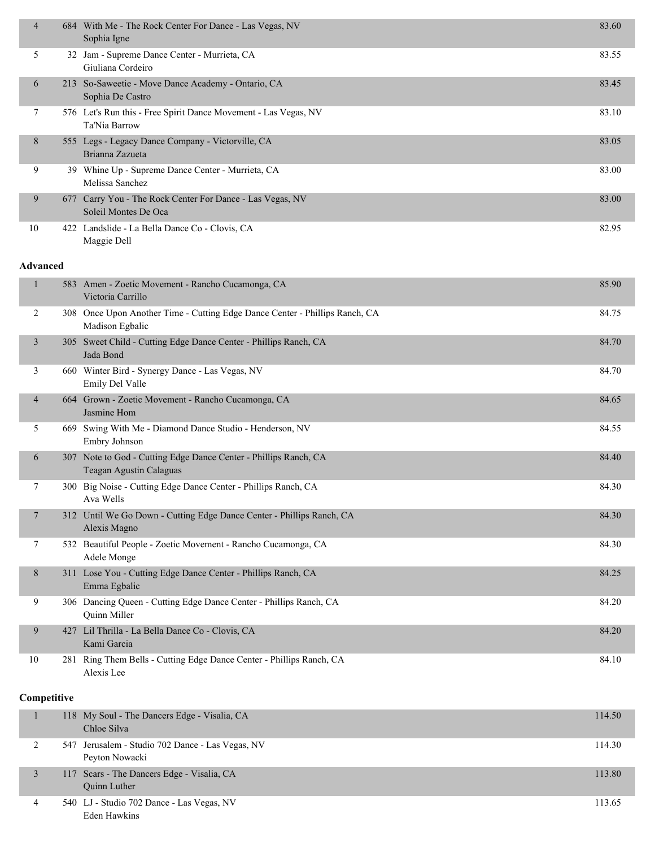| $\overline{4}$ | 684 With Me - The Rock Center For Dance - Las Vegas, NV<br>Sophia Igne            | 83.60 |
|----------------|-----------------------------------------------------------------------------------|-------|
| 5.             | 32 Jam - Supreme Dance Center - Murrieta, CA<br>Giuliana Cordeiro                 | 83.55 |
| 6              | 213 So-Saweetie - Move Dance Academy - Ontario, CA<br>Sophia De Castro            | 83.45 |
| 7              | 576 Let's Run this - Free Spirit Dance Movement - Las Vegas, NV<br>Ta'Nia Barrow  | 83.10 |
| 8              | 555 Legs - Legacy Dance Company - Victorville, CA<br>Brianna Zazueta              | 83.05 |
| 9              | 39 Whine Up - Supreme Dance Center - Murrieta, CA<br>Melissa Sanchez              | 83.00 |
| 9              | 677 Carry You - The Rock Center For Dance - Las Vegas, NV<br>Soleil Montes De Oca | 83.00 |
| 10             | 422 Landslide - La Bella Dance Co - Clovis, CA<br>Maggie Dell                     | 82.95 |

#### **Advanced**

|                | 583 Amen - Zoetic Movement - Rancho Cucamonga, CA<br>Victoria Carrillo                         | 85.90 |
|----------------|------------------------------------------------------------------------------------------------|-------|
| $\overline{2}$ | 308 Once Upon Another Time - Cutting Edge Dance Center - Phillips Ranch, CA<br>Madison Egbalic | 84.75 |
| 3              | 305 Sweet Child - Cutting Edge Dance Center - Phillips Ranch, CA<br>Jada Bond                  | 84.70 |
| 3              | 660 Winter Bird - Synergy Dance - Las Vegas, NV<br>Emily Del Valle                             | 84.70 |
| 4              | 664 Grown - Zoetic Movement - Rancho Cucamonga, CA<br>Jasmine Hom                              | 84.65 |
| 5              | 669 Swing With Me - Diamond Dance Studio - Henderson, NV<br>Embry Johnson                      | 84.55 |
| 6              | 307 Note to God - Cutting Edge Dance Center - Phillips Ranch, CA<br>Teagan Agustin Calaguas    | 84.40 |
| 7              | 300 Big Noise - Cutting Edge Dance Center - Phillips Ranch, CA<br>Ava Wells                    | 84.30 |
| 7              | 312 Until We Go Down - Cutting Edge Dance Center - Phillips Ranch, CA<br>Alexis Magno          | 84.30 |
| 7              | 532 Beautiful People - Zoetic Movement - Rancho Cucamonga, CA<br>Adele Monge                   | 84.30 |
| 8              | 311 Lose You - Cutting Edge Dance Center - Phillips Ranch, CA<br>Emma Egbalic                  | 84.25 |
| 9              | 306 Dancing Queen - Cutting Edge Dance Center - Phillips Ranch, CA<br>Quinn Miller             | 84.20 |
| 9              | 427 Lil Thrilla - La Bella Dance Co - Clovis, CA<br>Kami Garcia                                | 84.20 |
| 10             | 281 Ring Them Bells - Cutting Edge Dance Center - Phillips Ranch, CA<br>Alexis Lee             | 84.10 |

|   | 118 My Soul - The Dancers Edge - Visalia, CA<br>Chloe Silva        | 114.50 |
|---|--------------------------------------------------------------------|--------|
|   | 547 Jerusalem - Studio 702 Dance - Las Vegas, NV<br>Peyton Nowacki | 114.30 |
|   | 117 Scars - The Dancers Edge - Visalia, CA<br><b>Ouinn Luther</b>  | 113.80 |
| 4 | 540 LJ - Studio 702 Dance - Las Vegas, NV<br>Eden Hawkins          | 113.65 |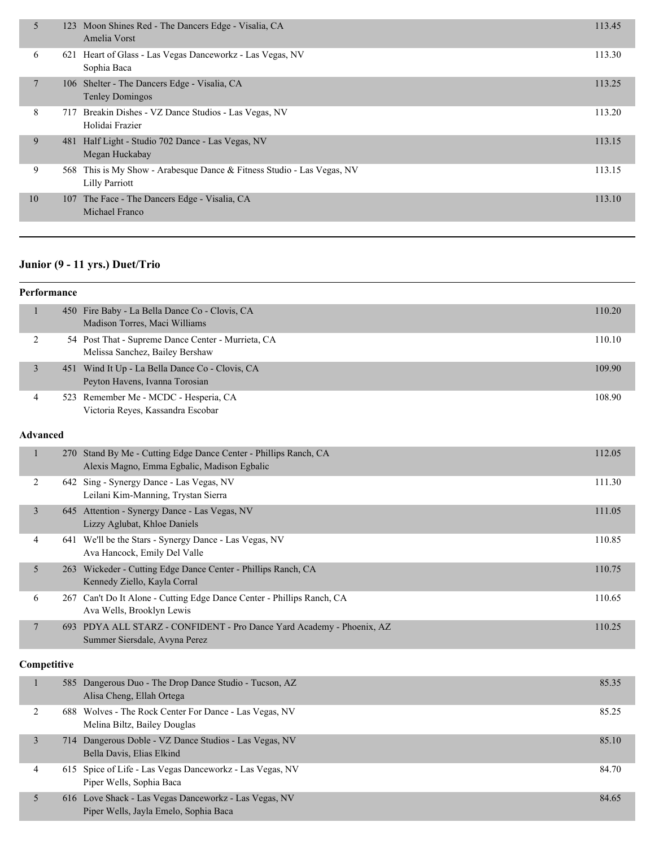| 5      |     | 123 Moon Shines Red - The Dancers Edge - Visalia, CA<br>Amelia Vorst                            | 113.45 |
|--------|-----|-------------------------------------------------------------------------------------------------|--------|
| 6      |     | 621 Heart of Glass - Las Vegas Danceworkz - Las Vegas, NV<br>Sophia Baca                        | 113.30 |
| $\tau$ |     | 106 Shelter - The Dancers Edge - Visalia, CA<br><b>Tenley Domingos</b>                          | 113.25 |
| 8      | 717 | Breakin Dishes - VZ Dance Studios - Las Vegas, NV<br>Holidai Frazier                            | 113.20 |
| 9      | 481 | Half Light - Studio 702 Dance - Las Vegas, NV<br>Megan Huckabay                                 | 113.15 |
| 9      |     | 568 This is My Show - Arabesque Dance & Fitness Studio - Las Vegas, NV<br><b>Lilly Parriott</b> | 113.15 |
| 10     |     | 107 The Face - The Dancers Edge - Visalia, CA<br>Michael Franco                                 | 113.10 |

# **Junior (9 - 11 yrs.) Duet/Trio**

|                 | Performance |                                                                                                             |        |
|-----------------|-------------|-------------------------------------------------------------------------------------------------------------|--------|
| 1               |             | 450 Fire Baby - La Bella Dance Co - Clovis, CA<br>Madison Torres, Maci Williams                             | 110.20 |
| $\overline{2}$  |             | 54 Post That - Supreme Dance Center - Murrieta, CA<br>Melissa Sanchez, Bailey Bershaw                       | 110.10 |
| $\overline{3}$  |             | 451 Wind It Up - La Bella Dance Co - Clovis, CA<br>Peyton Havens, Ivanna Torosian                           | 109.90 |
| 4               | 523         | Remember Me - MCDC - Hesperia, CA<br>Victoria Reyes, Kassandra Escobar                                      | 108.90 |
| <b>Advanced</b> |             |                                                                                                             |        |
|                 | 270         | Stand By Me - Cutting Edge Dance Center - Phillips Ranch, CA<br>Alexis Magno, Emma Egbalic, Madison Egbalic | 112.05 |
| 2               |             | 642 Sing - Synergy Dance - Las Vegas, NV<br>Leilani Kim-Manning, Trystan Sierra                             | 111.30 |
| 3               | 645         | Attention - Synergy Dance - Las Vegas, NV<br>Lizzy Aglubat, Khloe Daniels                                   | 111.05 |
| 4               |             | 641 We'll be the Stars - Synergy Dance - Las Vegas, NV<br>Ava Hancock, Emily Del Valle                      | 110.85 |
| 5               | 263         | Wickeder - Cutting Edge Dance Center - Phillips Ranch, CA<br>Kennedy Ziello, Kayla Corral                   | 110.75 |
| 6               |             | 267 Can't Do It Alone - Cutting Edge Dance Center - Phillips Ranch, CA<br>Ava Wells, Brooklyn Lewis         | 110.65 |
| $7\phantom{.0}$ |             | 693 PDYA ALL STARZ - CONFIDENT - Pro Dance Yard Academy - Phoenix, AZ<br>Summer Siersdale, Avyna Perez      | 110.25 |

|   | 585 Dangerous Duo - The Drop Dance Studio - Tucson, AZ<br>Alisa Cheng, Ellah Ortega            | 85.35 |
|---|------------------------------------------------------------------------------------------------|-------|
|   | 688 Wolves - The Rock Center For Dance - Las Vegas, NV<br>Melina Biltz, Bailey Douglas         | 85.25 |
|   | 714 Dangerous Doble - VZ Dance Studios - Las Vegas, NV<br>Bella Davis, Elias Elkind            | 85.10 |
| 4 | 615 Spice of Life - Las Vegas Danceworkz - Las Vegas, NV<br>Piper Wells, Sophia Baca           | 84.70 |
|   | 616 Love Shack - Las Vegas Danceworkz - Las Vegas, NV<br>Piper Wells, Jayla Emelo, Sophia Baca | 84.65 |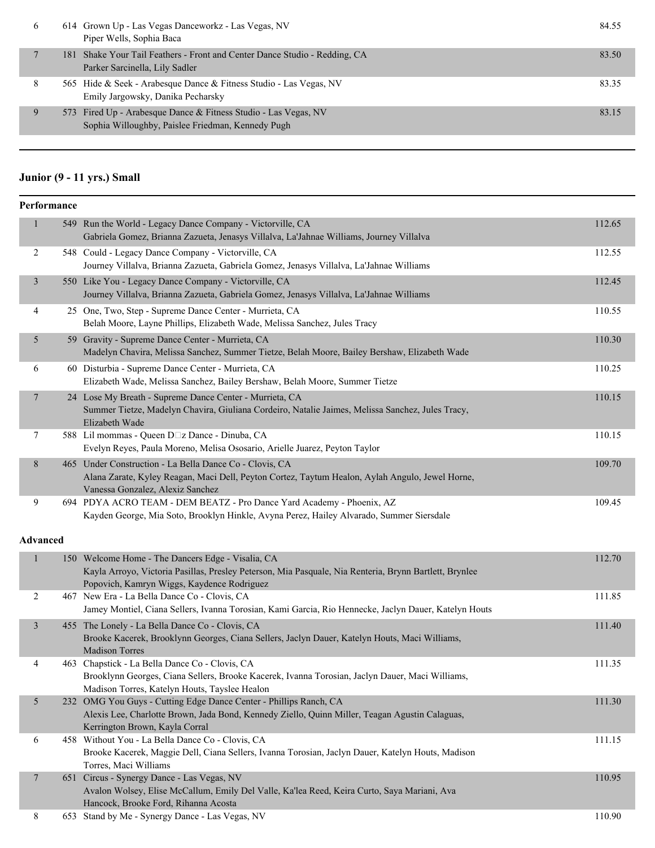| $\sigma$ | 614 Grown Up - Las Vegas Danceworkz - Las Vegas, NV<br>Piper Wells, Sophia Baca                                      | 84.55 |
|----------|----------------------------------------------------------------------------------------------------------------------|-------|
|          | 181 Shake Your Tail Feathers - Front and Center Dance Studio - Redding, CA<br>Parker Sarcinella, Lily Sadler         | 83.50 |
| 8        | 565 Hide & Seek - Arabesque Dance & Fitness Studio - Las Vegas, NV<br>Emily Jargowsky, Danika Pecharsky              | 83.35 |
| 9        | 573 Fired Up - Arabesque Dance & Fitness Studio - Las Vegas, NV<br>Sophia Willoughby, Paislee Friedman, Kennedy Pugh | 83.15 |
|          |                                                                                                                      |       |

# **Junior (9 - 11 yrs.) Small**

|                  | Performance |                                                                                                                                                                                                           |        |
|------------------|-------------|-----------------------------------------------------------------------------------------------------------------------------------------------------------------------------------------------------------|--------|
| $\mathbf{1}$     |             | 549 Run the World - Legacy Dance Company - Victorville, CA<br>Gabriela Gomez, Brianna Zazueta, Jenasys Villalva, La'Jahnae Williams, Journey Villalva                                                     | 112.65 |
| $\overline{2}$   |             | 548 Could - Legacy Dance Company - Victorville, CA<br>Journey Villalva, Brianna Zazueta, Gabriela Gomez, Jenasys Villalva, La'Jahnae Williams                                                             | 112.55 |
| $\mathfrak{Z}$   |             | 550 Like You - Legacy Dance Company - Victorville, CA<br>Journey Villalva, Brianna Zazueta, Gabriela Gomez, Jenasys Villalva, La'Jahnae Williams                                                          | 112.45 |
| 4                |             | 25 One, Two, Step - Supreme Dance Center - Murrieta, CA<br>Belah Moore, Layne Phillips, Elizabeth Wade, Melissa Sanchez, Jules Tracy                                                                      | 110.55 |
| 5                |             | 59 Gravity - Supreme Dance Center - Murrieta, CA<br>Madelyn Chavira, Melissa Sanchez, Summer Tietze, Belah Moore, Bailey Bershaw, Elizabeth Wade                                                          | 110.30 |
| 6                |             | 60 Disturbia - Supreme Dance Center - Murrieta, CA<br>Elizabeth Wade, Melissa Sanchez, Bailey Bershaw, Belah Moore, Summer Tietze                                                                         | 110.25 |
| $\tau$           |             | 24 Lose My Breath - Supreme Dance Center - Murrieta, CA<br>Summer Tietze, Madelyn Chavira, Giuliana Cordeiro, Natalie Jaimes, Melissa Sanchez, Jules Tracy,<br>Elizabeth Wade                             | 110.15 |
| 7                |             | 588 Lil mommas - Queen D□z Dance - Dinuba, CA<br>Evelyn Reyes, Paula Moreno, Melisa Ososario, Arielle Juarez, Peyton Taylor                                                                               | 110.15 |
| $8\,$            |             | 465 Under Construction - La Bella Dance Co - Clovis, CA<br>Alana Zarate, Kyley Reagan, Maci Dell, Peyton Cortez, Taytum Healon, Aylah Angulo, Jewel Horne,<br>Vanessa Gonzalez, Alexiz Sanchez            | 109.70 |
| 9                |             | 694 PDYA ACRO TEAM - DEM BEATZ - Pro Dance Yard Academy - Phoenix, AZ<br>Kayden George, Mia Soto, Brooklyn Hinkle, Avyna Perez, Hailey Alvarado, Summer Siersdale                                         | 109.45 |
| <b>Advanced</b>  |             |                                                                                                                                                                                                           |        |
| $\mathbf{1}$     |             | 150 Welcome Home - The Dancers Edge - Visalia, CA<br>Kayla Arroyo, Victoria Pasillas, Presley Peterson, Mia Pasquale, Nia Renteria, Brynn Bartlett, Brynlee<br>Popovich, Kamryn Wiggs, Kaydence Rodriguez | 112.70 |
| $\overline{c}$   |             | 467 New Era - La Bella Dance Co - Clovis, CA<br>Jamey Montiel, Ciana Sellers, Ivanna Torosian, Kami Garcia, Rio Hennecke, Jaclyn Dauer, Katelyn Houts                                                     | 111.85 |
| $\mathfrak{Z}$   |             | 455 The Lonely - La Bella Dance Co - Clovis, CA<br>Brooke Kacerek, Brooklynn Georges, Ciana Sellers, Jaclyn Dauer, Katelyn Houts, Maci Williams,<br><b>Madison Torres</b>                                 | 111.40 |
| 4                |             | 463 Chapstick - La Bella Dance Co - Clovis, CA<br>Brooklynn Georges, Ciana Sellers, Brooke Kacerek, Ivanna Torosian, Jaclyn Dauer, Maci Williams,<br>Madison Torres, Katelyn Houts, Tayslee Healon        | 111.35 |
| 5                |             | 232 OMG You Guys - Cutting Edge Dance Center - Phillips Ranch, CA<br>Alexis Lee, Charlotte Brown, Jada Bond, Kennedy Ziello, Quinn Miller, Teagan Agustin Calaguas,<br>Kerrington Brown, Kayla Corral     | 111.30 |
| 6                |             | 458 Without You - La Bella Dance Co - Clovis, CA<br>Brooke Kacerek, Maggie Dell, Ciana Sellers, Ivanna Torosian, Jaclyn Dauer, Katelyn Houts, Madison<br>Torres, Maci Williams                            | 111.15 |
| $\boldsymbol{7}$ |             | 651 Circus - Synergy Dance - Las Vegas, NV<br>Avalon Wolsey, Elise McCallum, Emily Del Valle, Ka'lea Reed, Keira Curto, Saya Mariani, Ava<br>Hancock, Brooke Ford, Rihanna Acosta                         | 110.95 |
| 8                |             | 653 Stand by Me - Synergy Dance - Las Vegas, NV                                                                                                                                                           | 110.90 |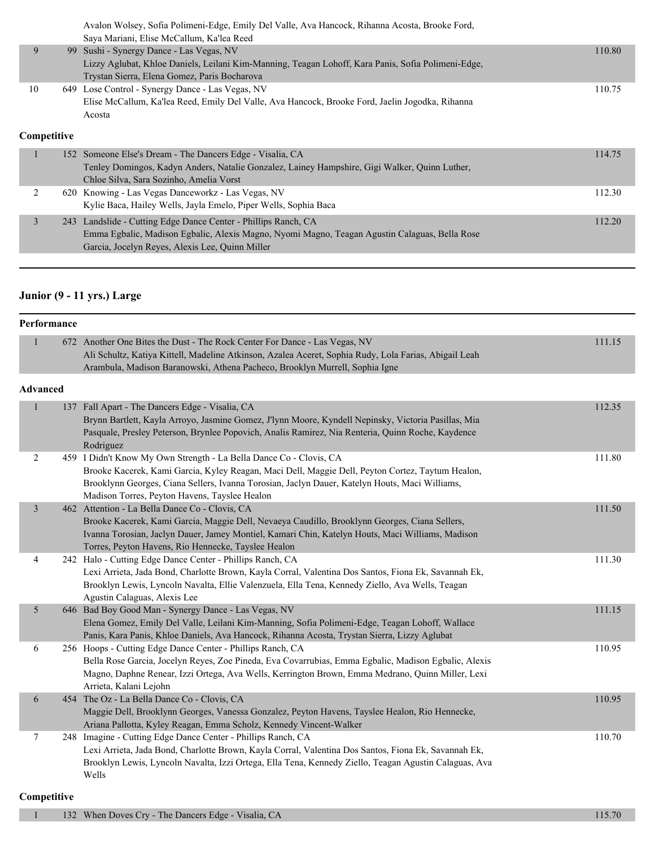|                | Avalon Wolsey, Sofia Polimeni-Edge, Emily Del Valle, Ava Hancock, Rihanna Acosta, Brooke Ford,<br>Saya Mariani, Elise McCallum, Ka'lea Reed |        |
|----------------|---------------------------------------------------------------------------------------------------------------------------------------------|--------|
| 9              | 99 Sushi - Synergy Dance - Las Vegas, NV                                                                                                    | 110.80 |
|                | Lizzy Aglubat, Khloe Daniels, Leilani Kim-Manning, Teagan Lohoff, Kara Panis, Sofia Polimeni-Edge,                                          |        |
|                | Trystan Sierra, Elena Gomez, Paris Bocharova                                                                                                |        |
| 10             | 649 Lose Control - Synergy Dance - Las Vegas, NV                                                                                            | 110.75 |
|                | Elise McCallum, Ka'lea Reed, Emily Del Valle, Ava Hancock, Brooke Ford, Jaelin Jogodka, Rihanna                                             |        |
|                | Acosta                                                                                                                                      |        |
|                |                                                                                                                                             |        |
| Competitive    |                                                                                                                                             |        |
|                | 152 Someone Else's Dream - The Dancers Edge - Visalia, CA                                                                                   | 114.75 |
|                | Tenley Domingos, Kadyn Anders, Natalie Gonzalez, Lainey Hampshire, Gigi Walker, Quinn Luther,                                               |        |
|                | Chloe Silva, Sara Sozinho, Amelia Vorst                                                                                                     |        |
| $\overline{2}$ | 620 Knowing - Las Vegas Danceworkz - Las Vegas, NV                                                                                          | 112.30 |
|                | Kylie Baca, Hailey Wells, Jayla Emelo, Piper Wells, Sophia Baca                                                                             |        |

Emma Egbalic, Madison Egbalic, Alexis Magno, Nyomi Magno, Teagan Agustin Calaguas, Bella Rose

Garcia, Jocelyn Reyes, Alexis Lee, Quinn Miller

# **Junior (9 - 11 yrs.) Large**

|                 | Performance |                                                                                                                                                                                                                                                                                                                           |        |
|-----------------|-------------|---------------------------------------------------------------------------------------------------------------------------------------------------------------------------------------------------------------------------------------------------------------------------------------------------------------------------|--------|
| $\mathbf{1}$    |             | 672 Another One Bites the Dust - The Rock Center For Dance - Las Vegas, NV<br>Ali Schultz, Katiya Kittell, Madeline Atkinson, Azalea Aceret, Sophia Rudy, Lola Farias, Abigail Leah<br>Arambula, Madison Baranowski, Athena Pacheco, Brooklyn Murrell, Sophia Igne                                                        | 111.15 |
| <b>Advanced</b> |             |                                                                                                                                                                                                                                                                                                                           |        |
| $\mathbf{1}$    |             | 137 Fall Apart - The Dancers Edge - Visalia, CA<br>Brynn Bartlett, Kayla Arroyo, Jasmine Gomez, J'lynn Moore, Kyndell Nepinsky, Victoria Pasillas, Mia<br>Pasquale, Presley Peterson, Brynlee Popovich, Analis Ramirez, Nia Renteria, Quinn Roche, Kaydence<br>Rodriguez                                                  | 112.35 |
| $\overline{2}$  |             | 459 I Didn't Know My Own Strength - La Bella Dance Co - Clovis, CA<br>Brooke Kacerek, Kami Garcia, Kyley Reagan, Maci Dell, Maggie Dell, Peyton Cortez, Taytum Healon,<br>Brooklynn Georges, Ciana Sellers, Ivanna Torosian, Jaclyn Dauer, Katelyn Houts, Maci Williams,<br>Madison Torres, Peyton Havens, Tayslee Healon | 111.80 |
| $\mathfrak{Z}$  |             | 462 Attention - La Bella Dance Co - Clovis, CA<br>Brooke Kacerek, Kami Garcia, Maggie Dell, Nevaeya Caudillo, Brooklynn Georges, Ciana Sellers,<br>Ivanna Torosian, Jaclyn Dauer, Jamey Montiel, Kamari Chin, Katelyn Houts, Maci Williams, Madison<br>Torres, Peyton Havens, Rio Hennecke, Tayslee Healon                | 111.50 |
| 4               |             | 242 Halo - Cutting Edge Dance Center - Phillips Ranch, CA<br>Lexi Arrieta, Jada Bond, Charlotte Brown, Kayla Corral, Valentina Dos Santos, Fiona Ek, Savannah Ek,<br>Brooklyn Lewis, Lyncoln Navalta, Ellie Valenzuela, Ella Tena, Kennedy Ziello, Ava Wells, Teagan<br>Agustin Calaguas, Alexis Lee                      | 111.30 |
| 5               |             | 646 Bad Boy Good Man - Synergy Dance - Las Vegas, NV<br>Elena Gomez, Emily Del Valle, Leilani Kim-Manning, Sofia Polimeni-Edge, Teagan Lohoff, Wallace<br>Panis, Kara Panis, Khloe Daniels, Ava Hancock, Rihanna Acosta, Trystan Sierra, Lizzy Aglubat                                                                    | 111.15 |
| 6               |             | 256 Hoops - Cutting Edge Dance Center - Phillips Ranch, CA<br>Bella Rose Garcia, Jocelyn Reyes, Zoe Pineda, Eva Covarrubias, Emma Egbalic, Madison Egbalic, Alexis<br>Magno, Daphne Renear, Izzi Ortega, Ava Wells, Kerrington Brown, Emma Medrano, Quinn Miller, Lexi<br>Arrieta, Kalani Lejohn                          | 110.95 |
| 6               |             | 454 The Oz - La Bella Dance Co - Clovis, CA<br>Maggie Dell, Brooklynn Georges, Vanessa Gonzalez, Peyton Havens, Tayslee Healon, Rio Hennecke,<br>Ariana Pallotta, Kyley Reagan, Emma Scholz, Kennedy Vincent-Walker                                                                                                       | 110.95 |
| 7               |             | 248 Imagine - Cutting Edge Dance Center - Phillips Ranch, CA<br>Lexi Arrieta, Jada Bond, Charlotte Brown, Kayla Corral, Valentina Dos Santos, Fiona Ek, Savannah Ek,<br>Brooklyn Lewis, Lyncoln Navalta, Izzi Ortega, Ella Tena, Kennedy Ziello, Teagan Agustin Calaguas, Ava<br>Wells                                    | 110.70 |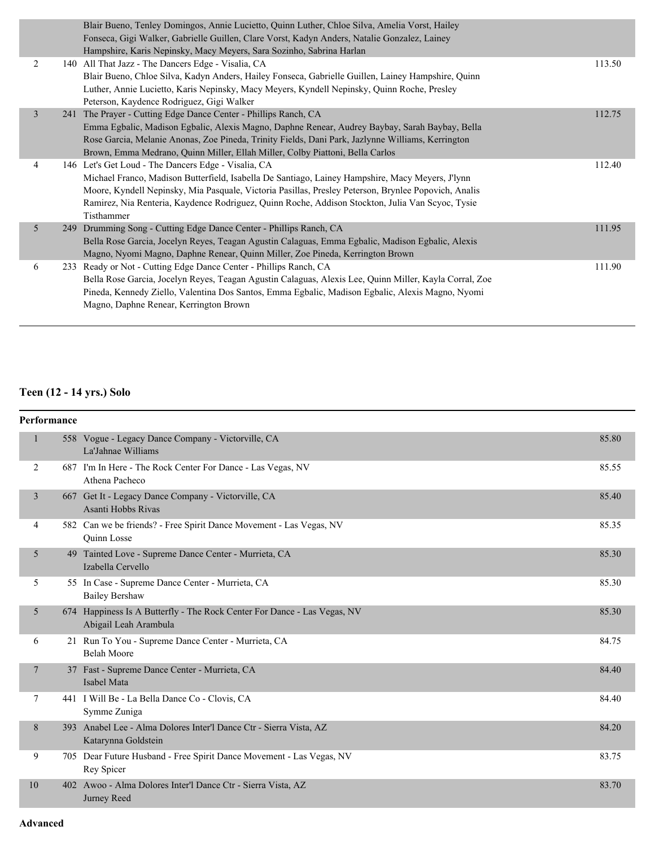|                | Blair Bueno, Tenley Domingos, Annie Lucietto, Quinn Luther, Chloe Silva, Amelia Vorst, Hailey          |        |
|----------------|--------------------------------------------------------------------------------------------------------|--------|
|                | Fonseca, Gigi Walker, Gabrielle Guillen, Clare Vorst, Kadyn Anders, Natalie Gonzalez, Lainey           |        |
|                | Hampshire, Karis Nepinsky, Macy Meyers, Sara Sozinho, Sabrina Harlan                                   |        |
| 2              | 140 All That Jazz - The Dancers Edge - Visalia, CA                                                     | 113.50 |
|                | Blair Bueno, Chloe Silva, Kadyn Anders, Hailey Fonseca, Gabrielle Guillen, Lainey Hampshire, Quinn     |        |
|                | Luther, Annie Lucietto, Karis Nepinsky, Macy Meyers, Kyndell Nepinsky, Quinn Roche, Presley            |        |
|                | Peterson, Kaydence Rodriguez, Gigi Walker                                                              |        |
| 3              | 241 The Prayer - Cutting Edge Dance Center - Phillips Ranch, CA                                        | 112.75 |
|                | Emma Egbalic, Madison Egbalic, Alexis Magno, Daphne Renear, Audrey Baybay, Sarah Baybay, Bella         |        |
|                | Rose Garcia, Melanie Anonas, Zoe Pineda, Trinity Fields, Dani Park, Jazlynne Williams, Kerrington      |        |
|                | Brown, Emma Medrano, Quinn Miller, Ellah Miller, Colby Piattoni, Bella Carlos                          |        |
| $\overline{4}$ | 146 Let's Get Loud - The Dancers Edge - Visalia, CA                                                    | 112.40 |
|                | Michael Franco, Madison Butterfield, Isabella De Santiago, Lainey Hampshire, Macy Meyers, J'lynn       |        |
|                | Moore, Kyndell Nepinsky, Mia Pasquale, Victoria Pasillas, Presley Peterson, Brynlee Popovich, Analis   |        |
|                | Ramirez, Nia Renteria, Kaydence Rodriguez, Quinn Roche, Addison Stockton, Julia Van Scyoc, Tysie       |        |
|                | Tisthammer                                                                                             |        |
| 5              | 249 Drumming Song - Cutting Edge Dance Center - Phillips Ranch, CA                                     | 111.95 |
|                | Bella Rose Garcia, Jocelyn Reyes, Teagan Agustin Calaguas, Emma Egbalic, Madison Egbalic, Alexis       |        |
|                | Magno, Nyomi Magno, Daphne Renear, Quinn Miller, Zoe Pineda, Kerrington Brown                          |        |
| 6              | 233 Ready or Not - Cutting Edge Dance Center - Phillips Ranch, CA                                      | 111.90 |
|                | Bella Rose Garcia, Jocelyn Reyes, Teagan Agustin Calaguas, Alexis Lee, Quinn Miller, Kayla Corral, Zoe |        |
|                | Pineda, Kennedy Ziello, Valentina Dos Santos, Emma Egbalic, Madison Egbalic, Alexis Magno, Nyomi       |        |
|                | Magno, Daphne Renear, Kerrington Brown                                                                 |        |
|                |                                                                                                        |        |

# **Teen (12 - 14 yrs.) Solo**

| Performance    |                                                                                                   |       |
|----------------|---------------------------------------------------------------------------------------------------|-------|
|                | 558 Vogue - Legacy Dance Company - Victorville, CA<br>La'Jahnae Williams                          | 85.80 |
| 2              | 687 I'm In Here - The Rock Center For Dance - Las Vegas, NV<br>Athena Pacheco                     | 85.55 |
| 3              | 667 Get It - Legacy Dance Company - Victorville, CA<br>Asanti Hobbs Rivas                         | 85.40 |
| 4              | 582 Can we be friends? - Free Spirit Dance Movement - Las Vegas, NV<br><b>Ouinn Losse</b>         | 85.35 |
| 5              | 49 Tainted Love - Supreme Dance Center - Murrieta, CA<br>Izabella Cervello                        | 85.30 |
| 5              | 55 In Case - Supreme Dance Center - Murrieta, CA<br><b>Bailey Bershaw</b>                         | 85.30 |
| 5              | 674 Happiness Is A Butterfly - The Rock Center For Dance - Las Vegas, NV<br>Abigail Leah Arambula | 85.30 |
| 6              | 21 Run To You - Supreme Dance Center - Murrieta, CA<br><b>Belah Moore</b>                         | 84.75 |
| $\overline{7}$ | 37 Fast - Supreme Dance Center - Murrieta, CA<br>Isabel Mata                                      | 84.40 |
| 7              | 441 I Will Be - La Bella Dance Co - Clovis, CA<br>Symme Zuniga                                    | 84.40 |
| 8              | 393 Anabel Lee - Alma Dolores Inter'l Dance Ctr - Sierra Vista, AZ<br>Katarynna Goldstein         | 84.20 |
| 9              | 705 Dear Future Husband - Free Spirit Dance Movement - Las Vegas, NV<br>Rey Spicer                | 83.75 |
| 10             | 402 Awoo - Alma Dolores Inter'l Dance Ctr - Sierra Vista, AZ<br>Jurney Reed                       | 83.70 |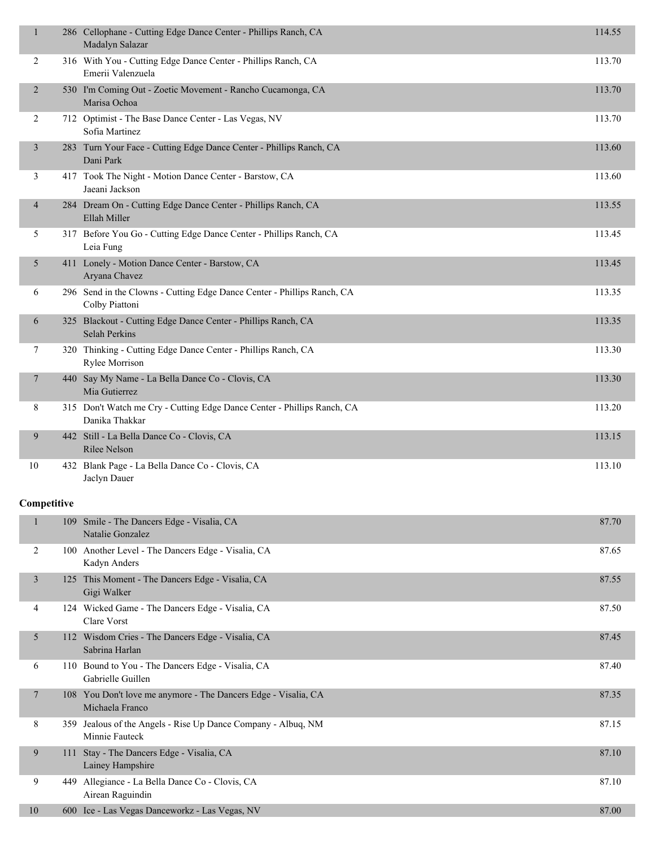| 1              |     | 286 Cellophane - Cutting Edge Dance Center - Phillips Ranch, CA<br>Madalyn Salazar        | 114.55 |
|----------------|-----|-------------------------------------------------------------------------------------------|--------|
| $\overline{2}$ |     | 316 With You - Cutting Edge Dance Center - Phillips Ranch, CA<br>Emerii Valenzuela        | 113.70 |
| $\overline{2}$ |     | 530 I'm Coming Out - Zoetic Movement - Rancho Cucamonga, CA<br>Marisa Ochoa               | 113.70 |
| 2              |     | 712 Optimist - The Base Dance Center - Las Vegas, NV<br>Sofia Martinez                    | 113.70 |
| $\mathfrak{Z}$ |     | 283 Turn Your Face - Cutting Edge Dance Center - Phillips Ranch, CA<br>Dani Park          | 113.60 |
| 3              |     | 417 Took The Night - Motion Dance Center - Barstow, CA<br>Jaeani Jackson                  | 113.60 |
| $\overline{4}$ |     | 284 Dream On - Cutting Edge Dance Center - Phillips Ranch, CA<br>Ellah Miller             | 113.55 |
| 5              |     | 317 Before You Go - Cutting Edge Dance Center - Phillips Ranch, CA<br>Leia Fung           | 113.45 |
| 5 <sup>5</sup> |     | 411 Lonely - Motion Dance Center - Barstow, CA<br>Aryana Chavez                           | 113.45 |
| 6              |     | 296 Send in the Clowns - Cutting Edge Dance Center - Phillips Ranch, CA<br>Colby Piattoni | 113.35 |
| 6              |     | 325 Blackout - Cutting Edge Dance Center - Phillips Ranch, CA<br>Selah Perkins            | 113.35 |
| 7              |     | 320 Thinking - Cutting Edge Dance Center - Phillips Ranch, CA<br>Rylee Morrison           | 113.30 |
| 7              |     | 440 Say My Name - La Bella Dance Co - Clovis, CA<br>Mia Gutierrez                         | 113.30 |
| 8              |     | 315 Don't Watch me Cry - Cutting Edge Dance Center - Phillips Ranch, CA<br>Danika Thakkar | 113.20 |
| 9              |     | 442 Still - La Bella Dance Co - Clovis, CA<br>Rilee Nelson                                | 113.15 |
| 10             |     | 432 Blank Page - La Bella Dance Co - Clovis, CA<br>Jaclyn Dauer                           | 113.10 |
| Competitive    |     |                                                                                           |        |
| 1              |     | 109 Smile - The Dancers Edge - Visalia, CA<br>Natalie Gonzalez                            | 87.70  |
| 2              |     | 100 Another Level - The Dancers Edge - Visalia, CA<br>Kadyn Anders                        | 87.65  |
| $\mathfrak{Z}$ |     | 125 This Moment - The Dancers Edge - Visalia, CA<br>Gigi Walker                           | 87.55  |
| 4              |     | 124 Wicked Game - The Dancers Edge - Visalia, CA<br>Clare Vorst                           | 87.50  |
| 5              |     | 112 Wisdom Cries - The Dancers Edge - Visalia, CA<br>Sabrina Harlan                       | 87.45  |
| 6              |     | 110 Bound to You - The Dancers Edge - Visalia, CA<br>Gabrielle Guillen                    | 87.40  |
| 7              |     | 108 You Don't love me anymore - The Dancers Edge - Visalia, CA<br>Michaela Franco         | 87.35  |
| 8              |     | 359 Jealous of the Angels - Rise Up Dance Company - Albuq, NM<br>Minnie Fauteck           | 87.15  |
| 9              | 111 | Stay - The Dancers Edge - Visalia, CA<br>Lainey Hampshire                                 | 87.10  |
| 9              |     | 449 Allegiance - La Bella Dance Co - Clovis, CA<br>Airean Raguindin                       | 87.10  |
| 10             |     | 600 Ice - Las Vegas Danceworkz - Las Vegas, NV                                            | 87.00  |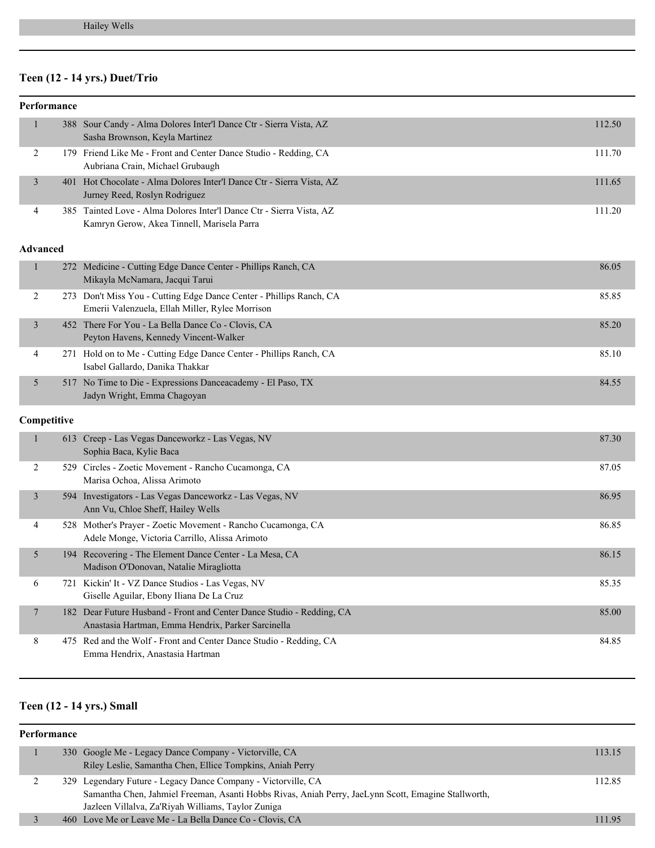# **Teen (12 - 14 yrs.) Duet/Trio**

|                | Performance     |                                                                                                                             |        |
|----------------|-----------------|-----------------------------------------------------------------------------------------------------------------------------|--------|
| $\mathbf{1}$   |                 | 388 Sour Candy - Alma Dolores Inter'l Dance Ctr - Sierra Vista, AZ<br>Sasha Brownson, Keyla Martinez                        | 112.50 |
| 2              |                 | 179 Friend Like Me - Front and Center Dance Studio - Redding, CA<br>Aubriana Crain, Michael Grubaugh                        | 111.70 |
| 3              |                 | 401 Hot Chocolate - Alma Dolores Inter'l Dance Ctr - Sierra Vista, AZ<br>Jurney Reed, Roslyn Rodriguez                      | 111.65 |
| 4              |                 | 385 Tainted Love - Alma Dolores Inter'l Dance Ctr - Sierra Vista, AZ<br>Kamryn Gerow, Akea Tinnell, Marisela Parra          | 111.20 |
|                | <b>Advanced</b> |                                                                                                                             |        |
| $\mathbf{1}$   |                 | 272 Medicine - Cutting Edge Dance Center - Phillips Ranch, CA<br>Mikayla McNamara, Jacqui Tarui                             | 86.05  |
| 2              |                 | 273 Don't Miss You - Cutting Edge Dance Center - Phillips Ranch, CA<br>Emerii Valenzuela, Ellah Miller, Rylee Morrison      | 85.85  |
| $\mathfrak{Z}$ |                 | 452 There For You - La Bella Dance Co - Clovis, CA<br>Peyton Havens, Kennedy Vincent-Walker                                 | 85.20  |
| 4              |                 | 271 Hold on to Me - Cutting Edge Dance Center - Phillips Ranch, CA<br>Isabel Gallardo, Danika Thakkar                       | 85.10  |
| 5              |                 | 517 No Time to Die - Expressions Danceacademy - El Paso, TX<br>Jadyn Wright, Emma Chagoyan                                  | 84.55  |
|                | Competitive     |                                                                                                                             |        |
| $\mathbf{1}$   |                 | 613 Creep - Las Vegas Danceworkz - Las Vegas, NV<br>Sophia Baca, Kylie Baca                                                 | 87.30  |
| 2              |                 | 529 Circles - Zoetic Movement - Rancho Cucamonga, CA<br>Marisa Ochoa, Alissa Arimoto                                        | 87.05  |
| $\mathfrak{Z}$ |                 | 594 Investigators - Las Vegas Danceworkz - Las Vegas, NV<br>Ann Vu, Chloe Sheff, Hailey Wells                               | 86.95  |
| 4              |                 | 528 Mother's Prayer - Zoetic Movement - Rancho Cucamonga, CA<br>Adele Monge, Victoria Carrillo, Alissa Arimoto              | 86.85  |
| 5              |                 | 194 Recovering - The Element Dance Center - La Mesa, CA<br>Madison O'Donovan, Natalie Miragliotta                           | 86.15  |
| 6              |                 | 721 Kickin' It - VZ Dance Studios - Las Vegas, NV<br>Giselle Aguilar, Ebony Iliana De La Cruz                               | 85.35  |
| 7              |                 | 182 Dear Future Husband - Front and Center Dance Studio - Redding, CA<br>Anastasia Hartman, Emma Hendrix, Parker Sarcinella | 85.00  |
| 8              |                 | 475 Red and the Wolf - Front and Center Dance Studio - Redding, CA<br>Emma Hendrix, Anastasia Hartman                       | 84.85  |

# **Teen (12 - 14 yrs.) Small**

#### **Performance**

|  | 330 Google Me - Legacy Dance Company - Victorville, CA                                              | 113.15 |
|--|-----------------------------------------------------------------------------------------------------|--------|
|  | Riley Leslie, Samantha Chen, Ellice Tompkins, Aniah Perry                                           |        |
|  | 329 Legendary Future - Legacy Dance Company - Victorville, CA                                       | 112.85 |
|  | Samantha Chen, Jahmiel Freeman, Asanti Hobbs Rivas, Aniah Perry, JaeLynn Scott, Emagine Stallworth, |        |
|  | Jazleen Villalva, Za'Riyah Williams, Taylor Zuniga                                                  |        |
|  | 460 Love Me or Leave Me - La Bella Dance Co - Clovis, CA                                            | 111.95 |
|  |                                                                                                     |        |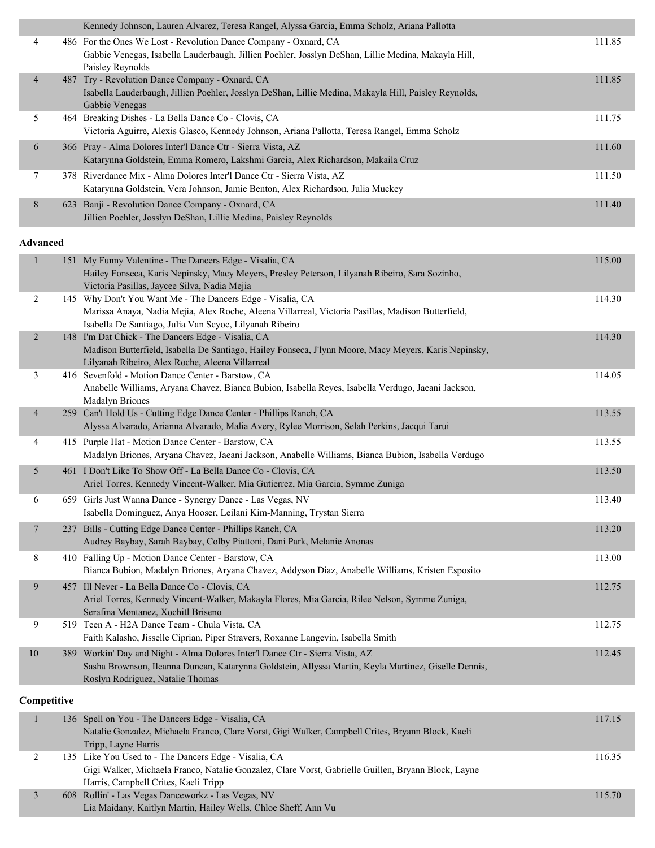|                | Kennedy Johnson, Lauren Alvarez, Teresa Rangel, Alyssa Garcia, Emma Scholz, Ariana Pallotta                                                                                                 |        |
|----------------|---------------------------------------------------------------------------------------------------------------------------------------------------------------------------------------------|--------|
| 4              | 486 For the Ones We Lost - Revolution Dance Company - Oxnard, CA<br>Gabbie Venegas, Isabella Lauderbaugh, Jillien Poehler, Josslyn DeShan, Lillie Medina, Makayla Hill,<br>Paisley Reynolds | 111.85 |
| $\overline{4}$ | 487 Try - Revolution Dance Company - Oxnard, CA<br>Isabella Lauderbaugh, Jillien Poehler, Josslyn DeShan, Lillie Medina, Makayla Hill, Paisley Reynolds,<br>Gabbie Venegas                  | 111.85 |
| 5.             | 464 Breaking Dishes - La Bella Dance Co - Clovis, CA<br>Victoria Aguirre, Alexis Glasco, Kennedy Johnson, Ariana Pallotta, Teresa Rangel, Emma Scholz                                       | 111.75 |
| 6              | 366 Pray - Alma Dolores Inter'l Dance Ctr - Sierra Vista, AZ<br>Katarynna Goldstein, Emma Romero, Lakshmi Garcia, Alex Richardson, Makaila Cruz                                             | 111.60 |
|                | 378 Riverdance Mix - Alma Dolores Inter'l Dance Ctr - Sierra Vista, AZ<br>Katarynna Goldstein, Vera Johnson, Jamie Benton, Alex Richardson, Julia Muckey                                    | 111.50 |
| 8              | 623 Banji - Revolution Dance Company - Oxnard, CA<br>Jillien Poehler, Josslyn DeShan, Lillie Medina, Paisley Reynolds                                                                       | 111.40 |

#### **Advanced**

| $\mathbf{1}$    | 151 My Funny Valentine - The Dancers Edge - Visalia, CA<br>Hailey Fonseca, Karis Nepinsky, Macy Meyers, Presley Peterson, Lilyanah Ribeiro, Sara Sozinho,<br>Victoria Pasillas, Jaycee Silva, Nadia Mejia                   | 115.00 |
|-----------------|-----------------------------------------------------------------------------------------------------------------------------------------------------------------------------------------------------------------------------|--------|
| 2               | 145 Why Don't You Want Me - The Dancers Edge - Visalia, CA<br>Marissa Anaya, Nadia Mejia, Alex Roche, Aleena Villarreal, Victoria Pasillas, Madison Butterfield,<br>Isabella De Santiago, Julia Van Scyoc, Lilyanah Ribeiro | 114.30 |
| $\overline{2}$  | 148 I'm Dat Chick - The Dancers Edge - Visalia, CA<br>Madison Butterfield, Isabella De Santiago, Hailey Fonseca, J'lynn Moore, Macy Meyers, Karis Nepinsky,<br>Lilyanah Ribeiro, Alex Roche, Aleena Villarreal              | 114.30 |
| 3               | 416 Sevenfold - Motion Dance Center - Barstow, CA<br>Anabelle Williams, Aryana Chavez, Bianca Bubion, Isabella Reyes, Isabella Verdugo, Jaeani Jackson,<br><b>Madalyn Briones</b>                                           | 114.05 |
| $\overline{4}$  | 259 Can't Hold Us - Cutting Edge Dance Center - Phillips Ranch, CA<br>Alyssa Alvarado, Arianna Alvarado, Malia Avery, Rylee Morrison, Selah Perkins, Jacqui Tarui                                                           | 113.55 |
| 4               | 415 Purple Hat - Motion Dance Center - Barstow, CA<br>Madalyn Briones, Aryana Chavez, Jaeani Jackson, Anabelle Williams, Bianca Bubion, Isabella Verdugo                                                                    | 113.55 |
| 5               | 461 I Don't Like To Show Off - La Bella Dance Co - Clovis, CA<br>Ariel Torres, Kennedy Vincent-Walker, Mia Gutierrez, Mia Garcia, Symme Zuniga                                                                              | 113.50 |
| 6               | 659 Girls Just Wanna Dance - Synergy Dance - Las Vegas, NV<br>Isabella Dominguez, Anya Hooser, Leilani Kim-Manning, Trystan Sierra                                                                                          | 113.40 |
| $7\phantom{.0}$ | 237 Bills - Cutting Edge Dance Center - Phillips Ranch, CA<br>Audrey Baybay, Sarah Baybay, Colby Piattoni, Dani Park, Melanie Anonas                                                                                        | 113.20 |
| 8               | 410 Falling Up - Motion Dance Center - Barstow, CA<br>Bianca Bubion, Madalyn Briones, Aryana Chavez, Addyson Diaz, Anabelle Williams, Kristen Esposito                                                                      | 113.00 |
| 9               | 457 Ill Never - La Bella Dance Co - Clovis, CA<br>Ariel Torres, Kennedy Vincent-Walker, Makayla Flores, Mia Garcia, Rilee Nelson, Symme Zuniga,<br>Serafina Montanez, Xochitl Briseno                                       | 112.75 |
| 9               | 519 Teen A - H2A Dance Team - Chula Vista, CA<br>Faith Kalasho, Jisselle Ciprian, Piper Stravers, Roxanne Langevin, Isabella Smith                                                                                          | 112.75 |
| 10              | 389 Workin' Day and Night - Alma Dolores Inter'l Dance Ctr - Sierra Vista, AZ<br>Sasha Brownson, Ileanna Duncan, Katarynna Goldstein, Allyssa Martin, Keyla Martinez, Giselle Dennis,<br>Roslyn Rodriguez, Natalie Thomas   | 112.45 |

|  | 136 Spell on You - The Dancers Edge - Visalia, CA                                                   | 117.15 |
|--|-----------------------------------------------------------------------------------------------------|--------|
|  | Natalie Gonzalez, Michaela Franco, Clare Vorst, Gigi Walker, Campbell Crites, Bryann Block, Kaeli   |        |
|  | Tripp, Layne Harris                                                                                 |        |
|  | 135 Like You Used to - The Dancers Edge - Visalia, CA                                               | 116.35 |
|  | Gigi Walker, Michaela Franco, Natalie Gonzalez, Clare Vorst, Gabrielle Guillen, Bryann Block, Layne |        |
|  | Harris, Campbell Crites, Kaeli Tripp                                                                |        |
|  | 608 Rollin' - Las Vegas Danceworkz - Las Vegas, NV                                                  | 115.70 |
|  | Lia Maidany, Kaitlyn Martin, Hailey Wells, Chloe Sheff, Ann Vu                                      |        |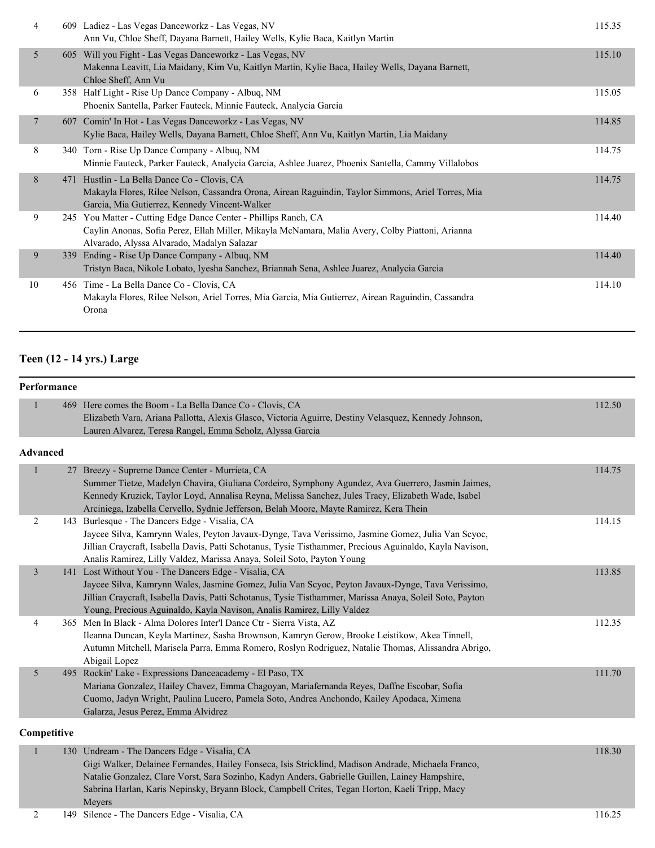| 4              | 609 Ladiez - Las Vegas Danceworkz - Las Vegas, NV<br>Ann Vu, Chloe Sheff, Dayana Barnett, Hailey Wells, Kylie Baca, Kaitlyn Martin                                                                                | 115.35 |
|----------------|-------------------------------------------------------------------------------------------------------------------------------------------------------------------------------------------------------------------|--------|
| 5              | 605 Will you Fight - Las Vegas Danceworkz - Las Vegas, NV<br>Makenna Leavitt, Lia Maidany, Kim Vu, Kaitlyn Martin, Kylie Baca, Hailey Wells, Dayana Barnett,<br>Chloe Sheff, Ann Vu                               | 115.10 |
| 6              | 358 Half Light - Rise Up Dance Company - Albuq, NM<br>Phoenix Santella, Parker Fauteck, Minnie Fauteck, Analycia Garcia                                                                                           | 115.05 |
| $\overline{7}$ | 607 Comin' In Hot - Las Vegas Danceworkz - Las Vegas, NV<br>Kylie Baca, Hailey Wells, Dayana Barnett, Chloe Sheff, Ann Vu, Kaitlyn Martin, Lia Maidany                                                            | 114.85 |
| 8              | 340 Torn - Rise Up Dance Company - Albuq, NM<br>Minnie Fauteck, Parker Fauteck, Analycia Garcia, Ashlee Juarez, Phoenix Santella, Cammy Villalobos                                                                | 114.75 |
| 8              | 471 Hustlin - La Bella Dance Co - Clovis, CA<br>Makayla Flores, Rilee Nelson, Cassandra Orona, Airean Raguindin, Taylor Simmons, Ariel Torres, Mia<br>Garcia, Mia Gutierrez, Kennedy Vincent-Walker               | 114.75 |
| 9              | 245 You Matter - Cutting Edge Dance Center - Phillips Ranch, CA<br>Caylin Anonas, Sofia Perez, Ellah Miller, Mikayla McNamara, Malia Avery, Colby Piattoni, Arianna<br>Alvarado, Alyssa Alvarado, Madalyn Salazar | 114.40 |
| 9              | 339 Ending - Rise Up Dance Company - Albuq, NM<br>Tristyn Baca, Nikole Lobato, Iyesha Sanchez, Briannah Sena, Ashlee Juarez, Analycia Garcia                                                                      | 114.40 |
| 10             | 456 Time - La Bella Dance Co - Clovis, CA<br>Makayla Flores, Rilee Nelson, Ariel Torres, Mia Garcia, Mia Gutierrez, Airean Raguindin, Cassandra<br>Orona                                                          | 114.10 |

#### **Teen (12 - 14 yrs.) Large**

## **Performance** 1 469 Here comes the Boom - La Bella Dance Co - Clovis, CA 112.50 Elizabeth Vara, Ariana Pallotta, Alexis Glasco, Victoria Aguirre, Destiny Velasquez, Kennedy Johnson, Lauren Alvarez, Teresa Rangel, Emma Scholz, Alyssa Garcia **Advanced** 1 27 Breezy - Supreme Dance Center - Murrieta, CA 114.75 Summer Tietze, Madelyn Chavira, Giuliana Cordeiro, Symphony Agundez, Ava Guerrero, Jasmin Jaimes, Kennedy Kruzick, Taylor Loyd, Annalisa Reyna, Melissa Sanchez, Jules Tracy, Elizabeth Wade, Isabel Arciniega, Izabella Cervello, Sydnie Jefferson, Belah Moore, Mayte Ramirez, Kera Thein 2 143 Burlesque - The Dancers Edge - Visalia, CA 114.15 Jaycee Silva, Kamrynn Wales, Peyton Javaux-Dynge, Tava Verissimo, Jasmine Gomez, Julia Van Scyoc, Jillian Craycraft, Isabella Davis, Patti Schotanus, Tysie Tisthammer, Precious Aguinaldo, Kayla Navison, Analis Ramirez, Lilly Valdez, Marissa Anaya, Soleil Soto, Payton Young 3 141 Lost Without You - The Dancers Edge - Visalia, CA 113.85 Jaycee Silva, Kamrynn Wales, Jasmine Gomez, Julia Van Scyoc, Peyton Javaux-Dynge, Tava Verissimo, Jillian Craycraft, Isabella Davis, Patti Schotanus, Tysie Tisthammer, Marissa Anaya, Soleil Soto, Payton Young, Precious Aguinaldo, Kayla Navison, Analis Ramirez, Lilly Valdez 4 365 Men In Black - Alma Dolores Inter'l Dance Ctr - Sierra Vista, AZ 112.35 Ileanna Duncan, Keyla Martinez, Sasha Brownson, Kamryn Gerow, Brooke Leistikow, Akea Tinnell, Autumn Mitchell, Marisela Parra, Emma Romero, Roslyn Rodriguez, Natalie Thomas, Alissandra Abrigo, Abigail Lopez 5 495 Rockin' Lake - Expressions Danceacademy - El Paso, TX 111.70 Mariana Gonzalez, Hailey Chavez, Emma Chagoyan, Mariafernanda Reyes, Daffne Escobar, Sofia Cuomo, Jadyn Wright, Paulina Lucero, Pamela Soto, Andrea Anchondo, Kailey Apodaca, Ximena Galarza, Jesus Perez, Emma Alvidrez **Competitive** 1 130 Undream - The Dancers Edge - Visalia, CA 118.30

## Gigi Walker, Delainee Fernandes, Hailey Fonseca, Isis Stricklind, Madison Andrade, Michaela Franco, Natalie Gonzalez, Clare Vorst, Sara Sozinho, Kadyn Anders, Gabrielle Guillen, Lainey Hampshire, Sabrina Harlan, Karis Nepinsky, Bryann Block, Campbell Crites, Tegan Horton, Kaeli Tripp, Macy Meyers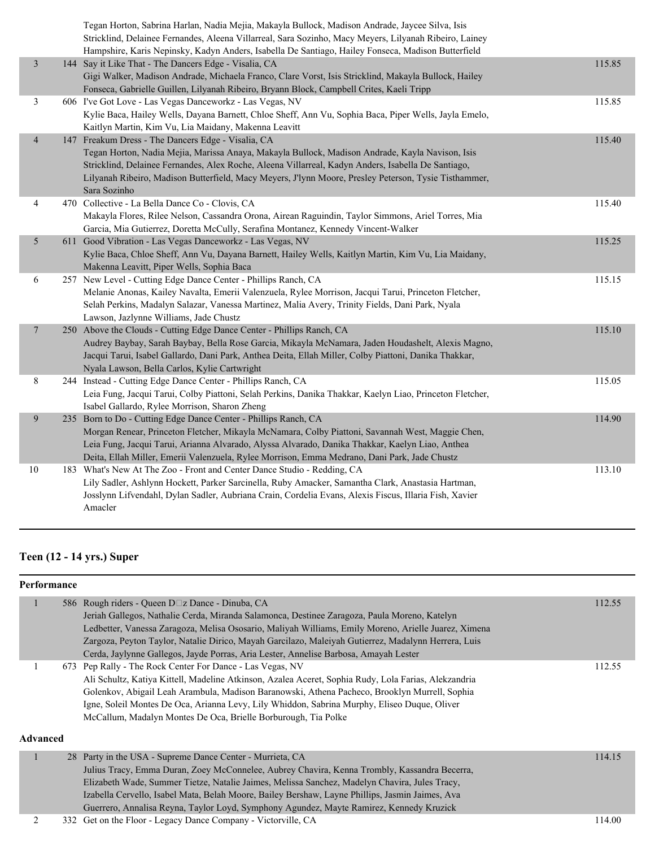|                | Tegan Horton, Sabrina Harlan, Nadia Mejia, Makayla Bullock, Madison Andrade, Jaycee Silva, Isis<br>Stricklind, Delainee Fernandes, Aleena Villarreal, Sara Sozinho, Macy Meyers, Lilyanah Ribeiro, Lainey<br>Hampshire, Karis Nepinsky, Kadyn Anders, Isabella De Santiago, Hailey Fonseca, Madison Butterfield                                                                      |        |
|----------------|--------------------------------------------------------------------------------------------------------------------------------------------------------------------------------------------------------------------------------------------------------------------------------------------------------------------------------------------------------------------------------------|--------|
| $\mathfrak{Z}$ | 144 Say it Like That - The Dancers Edge - Visalia, CA<br>Gigi Walker, Madison Andrade, Michaela Franco, Clare Vorst, Isis Stricklind, Makayla Bullock, Hailey<br>Fonseca, Gabrielle Guillen, Lilyanah Ribeiro, Bryann Block, Campbell Crites, Kaeli Tripp                                                                                                                            | 115.85 |
| 3              | 606 I've Got Love - Las Vegas Danceworkz - Las Vegas, NV<br>Kylie Baca, Hailey Wells, Dayana Barnett, Chloe Sheff, Ann Vu, Sophia Baca, Piper Wells, Jayla Emelo,<br>Kaitlyn Martin, Kim Vu, Lia Maidany, Makenna Leavitt                                                                                                                                                            | 115.85 |
| $\overline{4}$ | 147 Freakum Dress - The Dancers Edge - Visalia, CA<br>Tegan Horton, Nadia Mejia, Marissa Anaya, Makayla Bullock, Madison Andrade, Kayla Navison, Isis<br>Stricklind, Delainee Fernandes, Alex Roche, Aleena Villarreal, Kadyn Anders, Isabella De Santiago,<br>Lilyanah Ribeiro, Madison Butterfield, Macy Meyers, J'lynn Moore, Presley Peterson, Tysie Tisthammer,<br>Sara Sozinho | 115.40 |
| 4              | 470 Collective - La Bella Dance Co - Clovis, CA<br>Makayla Flores, Rilee Nelson, Cassandra Orona, Airean Raguindin, Taylor Simmons, Ariel Torres, Mia<br>Garcia, Mia Gutierrez, Doretta McCully, Serafina Montanez, Kennedy Vincent-Walker                                                                                                                                           | 115.40 |
| 5              | 611 Good Vibration - Las Vegas Danceworkz - Las Vegas, NV<br>Kylie Baca, Chloe Sheff, Ann Vu, Dayana Barnett, Hailey Wells, Kaitlyn Martin, Kim Vu, Lia Maidany,<br>Makenna Leavitt, Piper Wells, Sophia Baca                                                                                                                                                                        | 115.25 |
| 6              | 257 New Level - Cutting Edge Dance Center - Phillips Ranch, CA<br>Melanie Anonas, Kailey Navalta, Emerii Valenzuela, Rylee Morrison, Jacqui Tarui, Princeton Fletcher,<br>Selah Perkins, Madalyn Salazar, Vanessa Martinez, Malia Avery, Trinity Fields, Dani Park, Nyala<br>Lawson, Jazlynne Williams, Jade Chustz                                                                  | 115.15 |
| $\overline{7}$ | 250 Above the Clouds - Cutting Edge Dance Center - Phillips Ranch, CA<br>Audrey Baybay, Sarah Baybay, Bella Rose Garcia, Mikayla McNamara, Jaden Houdashelt, Alexis Magno,<br>Jacqui Tarui, Isabel Gallardo, Dani Park, Anthea Deita, Ellah Miller, Colby Piattoni, Danika Thakkar,<br>Nyala Lawson, Bella Carlos, Kylie Cartwright                                                  | 115.10 |
| 8              | 244 Instead - Cutting Edge Dance Center - Phillips Ranch, CA<br>Leia Fung, Jacqui Tarui, Colby Piattoni, Selah Perkins, Danika Thakkar, Kaelyn Liao, Princeton Fletcher,<br>Isabel Gallardo, Rylee Morrison, Sharon Zheng                                                                                                                                                            | 115.05 |
| 9              | 235 Born to Do - Cutting Edge Dance Center - Phillips Ranch, CA<br>Morgan Renear, Princeton Fletcher, Mikayla McNamara, Colby Piattoni, Savannah West, Maggie Chen,<br>Leia Fung, Jacqui Tarui, Arianna Alvarado, Alyssa Alvarado, Danika Thakkar, Kaelyn Liao, Anthea<br>Deita, Ellah Miller, Emerii Valenzuela, Rylee Morrison, Emma Medrano, Dani Park, Jade Chustz               | 114.90 |
| 10             | 183 What's New At The Zoo - Front and Center Dance Studio - Redding, CA<br>Lily Sadler, Ashlynn Hockett, Parker Sarcinella, Ruby Amacker, Samantha Clark, Anastasia Hartman,<br>Josslynn Lifvendahl, Dylan Sadler, Aubriana Crain, Cordelia Evans, Alexis Fiscus, Illaria Fish, Xavier<br>Amacler                                                                                    | 113.10 |

# **Teen (12 - 14 yrs.) Super**

## **Performance**

|                 | 586 Rough riders - Queen D□z Dance - Dinuba, CA<br>Jeriah Gallegos, Nathalie Cerda, Miranda Salamonca, Destinee Zaragoza, Paula Moreno, Katelyn<br>Ledbetter, Vanessa Zaragoza, Melisa Ososario, Maliyah Williams, Emily Moreno, Arielle Juarez, Ximena<br>Zargoza, Peyton Taylor, Natalie Dirico, Mayah Garcilazo, Maleiyah Gutierrez, Madalynn Herrera, Luis<br>Cerda, Jaylynne Gallegos, Jayde Porras, Aria Lester, Annelise Barbosa, Amayah Lester   | 112.55 |
|-----------------|----------------------------------------------------------------------------------------------------------------------------------------------------------------------------------------------------------------------------------------------------------------------------------------------------------------------------------------------------------------------------------------------------------------------------------------------------------|--------|
| <b>Advanced</b> | 673 Pep Rally - The Rock Center For Dance - Las Vegas, NV<br>Ali Schultz, Katiya Kittell, Madeline Atkinson, Azalea Aceret, Sophia Rudy, Lola Farias, Alekzandria<br>Golenkov, Abigail Leah Arambula, Madison Baranowski, Athena Pacheco, Brooklyn Murrell, Sophia<br>Igne, Soleil Montes De Oca, Arianna Levy, Lily Whiddon, Sabrina Murphy, Eliseo Duque, Oliver<br>McCallum, Madalyn Montes De Oca, Brielle Borburough, Tia Polke                     | 112.55 |
|                 | 28 Party in the USA - Supreme Dance Center - Murrieta, CA<br>Julius Tracy, Emma Duran, Zoey McConnelee, Aubrey Chavira, Kenna Trombly, Kassandra Becerra,<br>Elizabeth Wade, Summer Tietze, Natalie Jaimes, Melissa Sanchez, Madelyn Chavira, Jules Tracy,<br>Izabella Cervello, Isabel Mata, Belah Moore, Bailey Bershaw, Layne Phillips, Jasmin Jaimes, Ava<br>Guerrero, Annalisa Reyna, Taylor Loyd, Symphony Agundez, Mayte Ramirez, Kennedy Kruzick | 114.15 |

## 2 332 Get on the Floor - Legacy Dance Company - Victorville, CA 114.00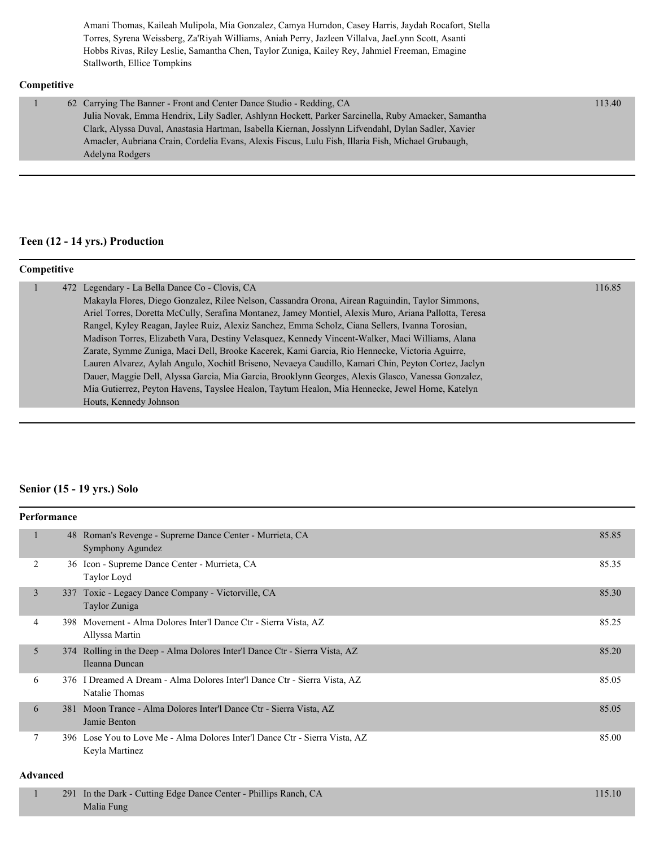Amani Thomas, Kaileah Mulipola, Mia Gonzalez, Camya Hurndon, Casey Harris, Jaydah Rocafort, Stella Torres, Syrena Weissberg, Za'Riyah Williams, Aniah Perry, Jazleen Villalva, JaeLynn Scott, Asanti Hobbs Rivas, Riley Leslie, Samantha Chen, Taylor Zuniga, Kailey Rey, Jahmiel Freeman, Emagine Stallworth, Ellice Tompkins

#### **Competitive**

| 62 Carrying The Banner - Front and Center Dance Studio - Redding, CA                                | 113.40 |
|-----------------------------------------------------------------------------------------------------|--------|
| Julia Novak, Emma Hendrix, Lily Sadler, Ashlynn Hockett, Parker Sarcinella, Ruby Amacker, Samantha  |        |
| Clark, Alyssa Duval, Anastasia Hartman, Isabella Kiernan, Josslynn Lifvendahl, Dylan Sadler, Xavier |        |
| Amacler, Aubriana Crain, Cordelia Evans, Alexis Fiscus, Lulu Fish, Illaria Fish, Michael Grubaugh,  |        |
| Adelyna Rodgers                                                                                     |        |
|                                                                                                     |        |

#### **Teen (12 - 14 yrs.) Production**

| Competitive |                                                                                                       |        |
|-------------|-------------------------------------------------------------------------------------------------------|--------|
|             | 472 Legendary - La Bella Dance Co - Clovis, CA                                                        | 116.85 |
|             | Makayla Flores, Diego Gonzalez, Rilee Nelson, Cassandra Orona, Airean Raguindin, Taylor Simmons,      |        |
|             | Ariel Torres, Doretta McCully, Serafina Montanez, Jamey Montiel, Alexis Muro, Ariana Pallotta, Teresa |        |
|             | Rangel, Kyley Reagan, Jaylee Ruiz, Alexiz Sanchez, Emma Scholz, Ciana Sellers, Ivanna Torosian,       |        |
|             | Madison Torres, Elizabeth Vara, Destiny Velasquez, Kennedy Vincent-Walker, Maci Williams, Alana       |        |
|             | Zarate, Symme Zuniga, Maci Dell, Brooke Kacerek, Kami Garcia, Rio Hennecke, Victoria Aguirre,         |        |
|             | Lauren Alvarez, Aylah Angulo, Xochitl Briseno, Nevaeya Caudillo, Kamari Chin, Peyton Cortez, Jaclyn   |        |
|             | Dauer, Maggie Dell, Alyssa Garcia, Mia Garcia, Brooklynn Georges, Alexis Glasco, Vanessa Gonzalez,    |        |
|             | Mia Gutierrez, Peyton Havens, Tayslee Healon, Taytum Healon, Mia Hennecke, Jewel Horne, Katelyn       |        |
|             | Houts, Kennedy Johnson                                                                                |        |
|             |                                                                                                       |        |

#### **Senior (15 - 19 yrs.) Solo**

|   | Performance |                                                                                               |       |
|---|-------------|-----------------------------------------------------------------------------------------------|-------|
|   |             | 48 Roman's Revenge - Supreme Dance Center - Murrieta, CA<br>Symphony Agundez                  | 85.85 |
| 2 |             | 36 Icon - Supreme Dance Center - Murrieta, CA<br>Taylor Loyd                                  | 85.35 |
| 3 |             | 337 Toxic - Legacy Dance Company - Victorville, CA<br>Taylor Zuniga                           | 85.30 |
| 4 |             | 398 Movement - Alma Dolores Inter'l Dance Ctr - Sierra Vista, AZ<br>Allyssa Martin            | 85.25 |
| 5 |             | 374 Rolling in the Deep - Alma Dolores Inter'l Dance Ctr - Sierra Vista, AZ<br>Ileanna Duncan | 85.20 |
| 6 |             | 376 I Dreamed A Dream - Alma Dolores Inter'l Dance Ctr - Sierra Vista, AZ<br>Natalie Thomas   | 85.05 |
| 6 | 381         | Moon Trance - Alma Dolores Inter'l Dance Ctr - Sierra Vista, AZ<br>Jamie Benton               | 85.05 |
| 7 |             | 396 Lose You to Love Me - Alma Dolores Inter'l Dance Ctr - Sierra Vista, AZ<br>Keyla Martinez | 85.00 |

#### **Advanced**

| 291 In the Dark - Cutting Edge Dance Center - Phillips Ranch, CA | 115.10 |
|------------------------------------------------------------------|--------|
| Malia Fung                                                       |        |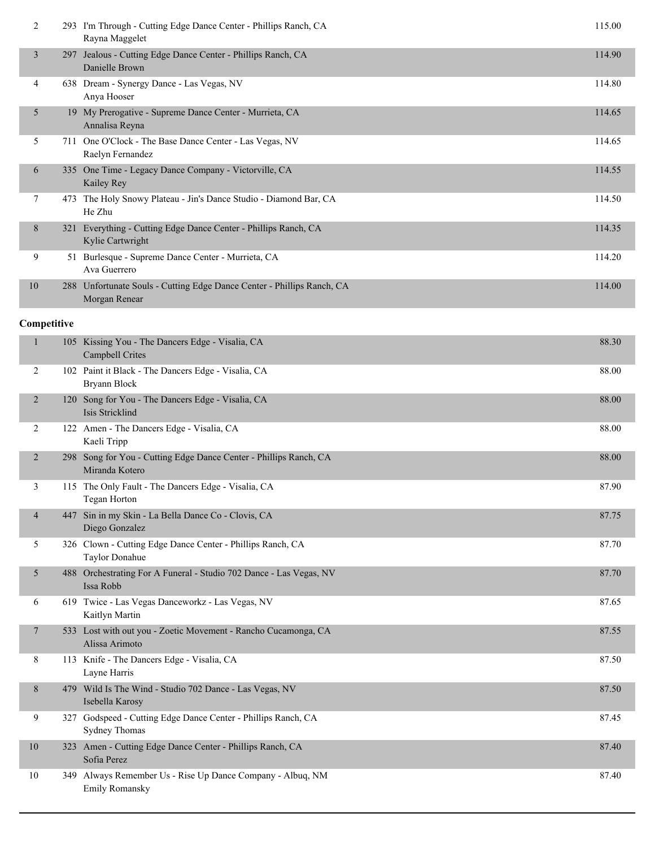| 3<br>Jealous - Cutting Edge Dance Center - Phillips Ranch, CA<br>297<br>Danielle Brown<br>638 Dream - Synergy Dance - Las Vegas, NV<br>4 | 114.90<br>114.80 |
|------------------------------------------------------------------------------------------------------------------------------------------|------------------|
|                                                                                                                                          |                  |
| Anya Hooser                                                                                                                              |                  |
| 19 My Prerogative - Supreme Dance Center - Murrieta, CA<br>5<br>Annalisa Reyna                                                           | 114.65           |
| 5<br>711 One O'Clock - The Base Dance Center - Las Vegas, NV<br>Raelyn Fernandez                                                         | 114.65           |
| One Time - Legacy Dance Company - Victorville, CA<br>6<br>335<br>Kailey Rey                                                              | 114.55           |
| 7<br>The Holy Snowy Plateau - Jin's Dance Studio - Diamond Bar, CA<br>473<br>He Zhu                                                      | 114.50           |
| 8<br>Everything - Cutting Edge Dance Center - Phillips Ranch, CA<br>321<br>Kylie Cartwright                                              | 114.35           |
| 9<br>Burlesque - Supreme Dance Center - Murrieta, CA<br>51<br>Ava Guerrero                                                               | 114.20           |
| 10<br>Unfortunate Souls - Cutting Edge Dance Center - Phillips Ranch, CA<br>288<br>Morgan Renear                                         | 114.00           |

| $\mathbf{1}$   |      | 105 Kissing You - The Dancers Edge - Visalia, CA<br><b>Campbell Crites</b>            | 88.30 |
|----------------|------|---------------------------------------------------------------------------------------|-------|
| $\overline{2}$ |      | 102 Paint it Black - The Dancers Edge - Visalia, CA<br>Bryann Block                   | 88.00 |
| 2              |      | 120 Song for You - The Dancers Edge - Visalia, CA<br>Isis Stricklind                  | 88.00 |
| 2              |      | 122 Amen - The Dancers Edge - Visalia, CA<br>Kaeli Tripp                              | 88.00 |
| $\overline{2}$ |      | 298 Song for You - Cutting Edge Dance Center - Phillips Ranch, CA<br>Miranda Kotero   | 88.00 |
| 3              |      | 115 The Only Fault - The Dancers Edge - Visalia, CA<br>Tegan Horton                   | 87.90 |
| $\overline{4}$ |      | 447 Sin in my Skin - La Bella Dance Co - Clovis, CA<br>Diego Gonzalez                 | 87.75 |
| 5              |      | 326 Clown - Cutting Edge Dance Center - Phillips Ranch, CA<br>Taylor Donahue          | 87.70 |
| 5              |      | 488 Orchestrating For A Funeral - Studio 702 Dance - Las Vegas, NV<br>Issa Robb       | 87.70 |
| 6              |      | 619 Twice - Las Vegas Danceworkz - Las Vegas, NV<br>Kaitlyn Martin                    | 87.65 |
| $\overline{7}$ |      | 533 Lost with out you - Zoetic Movement - Rancho Cucamonga, CA<br>Alissa Arimoto      | 87.55 |
| 8              |      | 113 Knife - The Dancers Edge - Visalia, CA<br>Layne Harris                            | 87.50 |
| 8              |      | 479 Wild Is The Wind - Studio 702 Dance - Las Vegas, NV<br>Isebella Karosy            | 87.50 |
| 9              |      | 327 Godspeed - Cutting Edge Dance Center - Phillips Ranch, CA<br><b>Sydney Thomas</b> | 87.45 |
| 10             |      | 323 Amen - Cutting Edge Dance Center - Phillips Ranch, CA<br>Sofia Perez              | 87.40 |
| 10             | 349. | Always Remember Us - Rise Up Dance Company - Albuq, NM<br><b>Emily Romansky</b>       | 87.40 |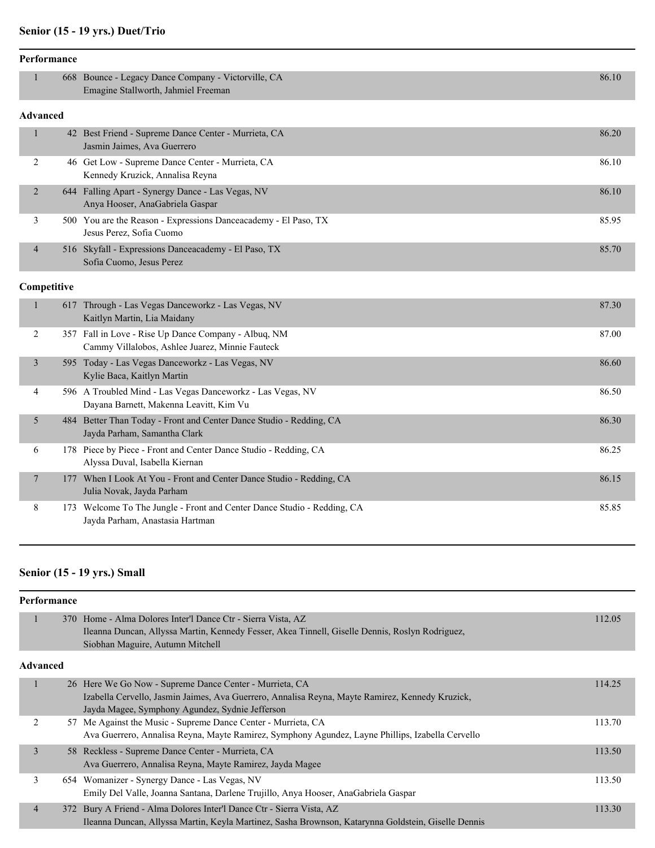# **Senior (15 - 19 yrs.) Duet/Trio**

|                          | Performance |                                                                                                            |       |
|--------------------------|-------------|------------------------------------------------------------------------------------------------------------|-------|
|                          |             | 668 Bounce - Legacy Dance Company - Victorville, CA<br>Emagine Stallworth, Jahmiel Freeman                 | 86.10 |
| <b>Advanced</b>          |             |                                                                                                            |       |
| $\mathbf{1}$             |             | 42 Best Friend - Supreme Dance Center - Murrieta, CA<br>Jasmin Jaimes, Ava Guerrero                        | 86.20 |
| 2                        |             | 46 Get Low - Supreme Dance Center - Murrieta, CA<br>Kennedy Kruzick, Annalisa Reyna                        | 86.10 |
| $\overline{2}$           |             | 644 Falling Apart - Synergy Dance - Las Vegas, NV<br>Anya Hooser, AnaGabriela Gaspar                       | 86.10 |
| 3                        |             | 500 You are the Reason - Expressions Danceacademy - El Paso, TX<br>Jesus Perez, Sofia Cuomo                | 85.95 |
| $\overline{\mathcal{A}}$ |             | 516 Skyfall - Expressions Danceacademy - El Paso, TX<br>Sofia Cuomo, Jesus Perez                           | 85.70 |
|                          | Competitive |                                                                                                            |       |
| 1                        |             | 617 Through - Las Vegas Danceworkz - Las Vegas, NV<br>Kaitlyn Martin, Lia Maidany                          | 87.30 |
| $\overline{2}$           |             | 357 Fall in Love - Rise Up Dance Company - Albuq, NM<br>Cammy Villalobos, Ashlee Juarez, Minnie Fauteck    | 87.00 |
| 3                        |             | 595 Today - Las Vegas Danceworkz - Las Vegas, NV<br>Kylie Baca, Kaitlyn Martin                             | 86.60 |
| 4                        |             | 596 A Troubled Mind - Las Vegas Danceworkz - Las Vegas, NV<br>Dayana Barnett, Makenna Leavitt, Kim Vu      | 86.50 |
| 5                        |             | 484 Better Than Today - Front and Center Dance Studio - Redding, CA<br>Jayda Parham, Samantha Clark        | 86.30 |
| 6                        |             | 178 Piece by Piece - Front and Center Dance Studio - Redding, CA<br>Alyssa Duval, Isabella Kiernan         | 86.25 |
| $\overline{7}$           |             | 177 When I Look At You - Front and Center Dance Studio - Redding, CA<br>Julia Novak, Jayda Parham          | 86.15 |
| 8                        |             | 173 Welcome To The Jungle - Front and Center Dance Studio - Redding, CA<br>Jayda Parham, Anastasia Hartman | 85.85 |

# **Senior (15 - 19 yrs.) Small**

| Performance    |          |                                                                                                                                                                                                               |        |
|----------------|----------|---------------------------------------------------------------------------------------------------------------------------------------------------------------------------------------------------------------|--------|
| -              |          | 370 Home - Alma Dolores Inter'l Dance Ctr - Sierra Vista, AZ<br>Ileanna Duncan, Allyssa Martin, Kennedy Fesser, Akea Tinnell, Giselle Dennis, Roslyn Rodriguez,<br>Siobhan Maguire, Autumn Mitchell           | 112.05 |
|                | Advanced |                                                                                                                                                                                                               |        |
| 1              |          | 26 Here We Go Now - Supreme Dance Center - Murrieta, CA<br>Izabella Cervello, Jasmin Jaimes, Ava Guerrero, Annalisa Reyna, Mayte Ramirez, Kennedy Kruzick,<br>Jayda Magee, Symphony Agundez, Sydnie Jefferson | 114.25 |
| 2              |          | 57 Me Against the Music - Supreme Dance Center - Murrieta, CA<br>Ava Guerrero, Annalisa Reyna, Mayte Ramirez, Symphony Agundez, Layne Phillips, Izabella Cervello                                             | 113.70 |
| $\overline{3}$ |          | 58 Reckless - Supreme Dance Center - Murrieta, CA<br>Ava Guerrero, Annalisa Reyna, Mayte Ramirez, Jayda Magee                                                                                                 | 113.50 |
| 3              |          | 654 Womanizer - Synergy Dance - Las Vegas, NV<br>Emily Del Valle, Joanna Santana, Darlene Trujillo, Anya Hooser, AnaGabriela Gaspar                                                                           | 113.50 |
| $\overline{4}$ |          | 372 Bury A Friend - Alma Dolores Inter'l Dance Ctr - Sierra Vista, AZ<br>Ileanna Duncan, Allyssa Martin, Keyla Martinez, Sasha Brownson, Katarynna Goldstein, Giselle Dennis                                  | 113.30 |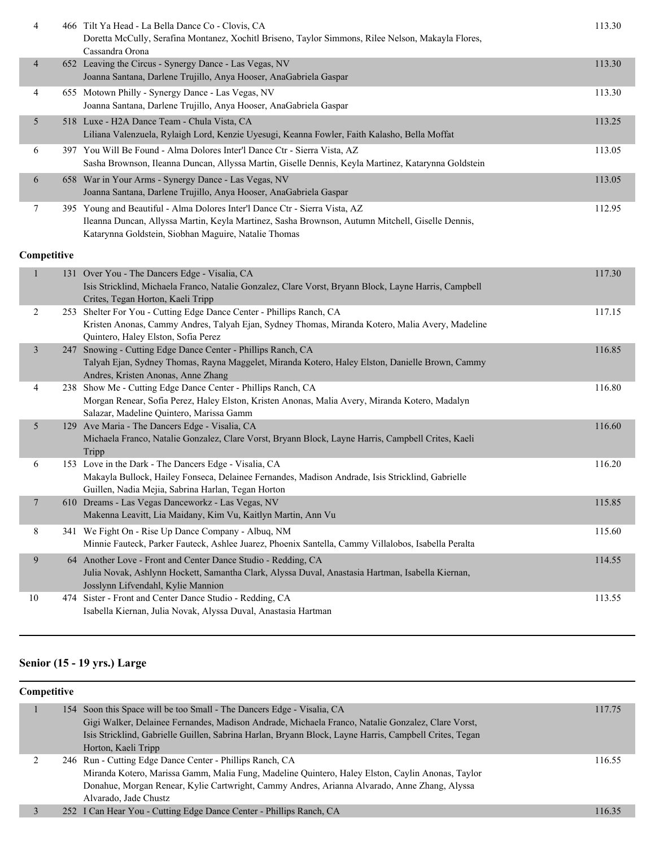| 4                        | 466 Tilt Ya Head - La Bella Dance Co - Clovis, CA<br>Doretta McCully, Serafina Montanez, Xochitl Briseno, Taylor Simmons, Rilee Nelson, Makayla Flores,<br>Cassandra Orona                                                              | 113.30 |
|--------------------------|-----------------------------------------------------------------------------------------------------------------------------------------------------------------------------------------------------------------------------------------|--------|
| $\overline{\mathcal{A}}$ | 652 Leaving the Circus - Synergy Dance - Las Vegas, NV<br>Joanna Santana, Darlene Trujillo, Anya Hooser, AnaGabriela Gaspar                                                                                                             | 113.30 |
| 4                        | 655 Motown Philly - Synergy Dance - Las Vegas, NV<br>Joanna Santana, Darlene Trujillo, Anya Hooser, AnaGabriela Gaspar                                                                                                                  | 113.30 |
| 5                        | 518 Luxe - H2A Dance Team - Chula Vista, CA<br>Liliana Valenzuela, Rylaigh Lord, Kenzie Uyesugi, Keanna Fowler, Faith Kalasho, Bella Moffat                                                                                             | 113.25 |
| 6                        | 397 You Will Be Found - Alma Dolores Inter'l Dance Ctr - Sierra Vista, AZ<br>Sasha Brownson, Ileanna Duncan, Allyssa Martin, Giselle Dennis, Keyla Martinez, Katarynna Goldstein                                                        | 113.05 |
| 6                        | 658 War in Your Arms - Synergy Dance - Las Vegas, NV<br>Joanna Santana, Darlene Trujillo, Anya Hooser, AnaGabriela Gaspar                                                                                                               | 113.05 |
| 7                        | 395 Young and Beautiful - Alma Dolores Inter'l Dance Ctr - Sierra Vista, AZ<br>Ileanna Duncan, Allyssa Martin, Keyla Martinez, Sasha Brownson, Autumn Mitchell, Giselle Dennis,<br>Katarynna Goldstein, Siobhan Maguire, Natalie Thomas | 112.95 |
| Competitive              |                                                                                                                                                                                                                                         |        |
| 1                        | 131 Over You - The Dancers Edge - Visalia, CA<br>Isis Stricklind, Michaela Franco, Natalie Gonzalez, Clare Vorst, Bryann Block, Layne Harris, Campbell<br>Crites, Tegan Horton, Kaeli Tripp                                             | 117.30 |
| 2                        | 253 Shelter For You - Cutting Edge Dance Center - Phillips Ranch, CA<br>Kristen Anonas, Cammy Andres, Talyah Ejan, Sydney Thomas, Miranda Kotero, Malia Avery, Madeline<br>Quintero, Haley Elston, Sofia Perez                          | 117.15 |
| $\mathfrak{Z}$           | 247 Snowing - Cutting Edge Dance Center - Phillips Ranch, CA<br>Talyah Ejan, Sydney Thomas, Rayna Maggelet, Miranda Kotero, Haley Elston, Danielle Brown, Cammy<br>Andres, Kristen Anonas, Anne Zhang                                   | 116.85 |
| 4                        | 238 Show Me - Cutting Edge Dance Center - Phillips Ranch, CA<br>Morgan Renear, Sofia Perez, Haley Elston, Kristen Anonas, Malia Avery, Miranda Kotero, Madalyn<br>Salazar, Madeline Quintero, Marissa Gamm                              | 116.80 |
| 5                        | 129 Ave Maria - The Dancers Edge - Visalia, CA<br>Michaela Franco, Natalie Gonzalez, Clare Vorst, Bryann Block, Layne Harris, Campbell Crites, Kaeli<br>Tripp                                                                           | 116.60 |
| 6                        | 153 Love in the Dark - The Dancers Edge - Visalia, CA<br>Makayla Bullock, Hailey Fonseca, Delainee Fernandes, Madison Andrade, Isis Stricklind, Gabrielle<br>Guillen, Nadia Mejia, Sabrina Harlan, Tegan Horton                         | 116.20 |
| $\tau$                   | 610 Dreams - Las Vegas Danceworkz - Las Vegas, NV<br>Makenna Leavitt, Lia Maidany, Kim Vu, Kaitlyn Martin, Ann Vu                                                                                                                       | 115.85 |
| 8                        | 341 We Fight On - Rise Up Dance Company - Albuq, NM<br>Minnie Fauteck, Parker Fauteck, Ashlee Juarez, Phoenix Santella, Cammy Villalobos, Isabella Peralta                                                                              | 115.60 |
| 9                        | 64 Another Love - Front and Center Dance Studio - Redding, CA<br>Julia Novak, Ashlynn Hockett, Samantha Clark, Alyssa Duval, Anastasia Hartman, Isabella Kiernan,<br>Josslynn Lifvendahl, Kylie Mannion                                 | 114.55 |
| 10                       | 474 Sister - Front and Center Dance Studio - Redding, CA<br>Isabella Kiernan, Julia Novak, Alyssa Duval, Anastasia Hartman                                                                                                              | 113.55 |

# **Senior (15 - 19 yrs.) Large**

| Competitive |  |                                                                                                        |        |
|-------------|--|--------------------------------------------------------------------------------------------------------|--------|
|             |  | 154 Soon this Space will be too Small - The Dancers Edge - Visalia, CA                                 | 117.75 |
|             |  | Gigi Walker, Delainee Fernandes, Madison Andrade, Michaela Franco, Natalie Gonzalez, Clare Vorst,      |        |
|             |  | Isis Stricklind, Gabrielle Guillen, Sabrina Harlan, Bryann Block, Layne Harris, Campbell Crites, Tegan |        |
|             |  | Horton, Kaeli Tripp                                                                                    |        |
|             |  | 246 Run - Cutting Edge Dance Center - Phillips Ranch, CA                                               | 116.55 |
|             |  | Miranda Kotero, Marissa Gamm, Malia Fung, Madeline Quintero, Haley Elston, Caylin Anonas, Taylor       |        |
|             |  | Donahue, Morgan Renear, Kylie Cartwright, Cammy Andres, Arianna Alvarado, Anne Zhang, Alyssa           |        |
|             |  | Alvarado, Jade Chustz                                                                                  |        |
|             |  | 252 I Can Hear You - Cutting Edge Dance Center - Phillips Ranch, CA                                    | 116.35 |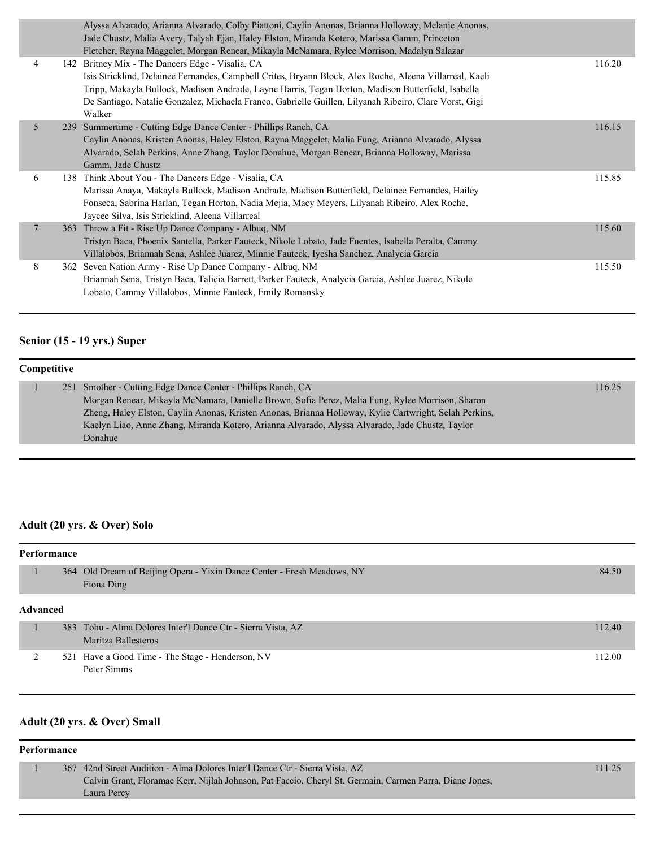|                | Alyssa Alvarado, Arianna Alvarado, Colby Piattoni, Caylin Anonas, Brianna Holloway, Melanie Anonas,<br>Jade Chustz, Malia Avery, Talyah Ejan, Haley Elston, Miranda Kotero, Marissa Gamm, Princeton                                                                                                                                                                                                                                                                                  |        |
|----------------|--------------------------------------------------------------------------------------------------------------------------------------------------------------------------------------------------------------------------------------------------------------------------------------------------------------------------------------------------------------------------------------------------------------------------------------------------------------------------------------|--------|
| $\overline{4}$ | Fletcher, Rayna Maggelet, Morgan Renear, Mikayla McNamara, Rylee Morrison, Madalyn Salazar<br>142 Britney Mix - The Dancers Edge - Visalia, CA<br>Isis Stricklind, Delainee Fernandes, Campbell Crites, Bryann Block, Alex Roche, Aleena Villarreal, Kaeli<br>Tripp, Makayla Bullock, Madison Andrade, Layne Harris, Tegan Horton, Madison Butterfield, Isabella<br>De Santiago, Natalie Gonzalez, Michaela Franco, Gabrielle Guillen, Lilyanah Ribeiro, Clare Vorst, Gigi<br>Walker | 116.20 |
| 5              | 239 Summertime - Cutting Edge Dance Center - Phillips Ranch, CA<br>Caylin Anonas, Kristen Anonas, Haley Elston, Rayna Maggelet, Malia Fung, Arianna Alvarado, Alyssa<br>Alvarado, Selah Perkins, Anne Zhang, Taylor Donahue, Morgan Renear, Brianna Holloway, Marissa<br>Gamm, Jade Chustz                                                                                                                                                                                           | 116.15 |
| 6              | 138 Think About You - The Dancers Edge - Visalia, CA<br>Marissa Anaya, Makayla Bullock, Madison Andrade, Madison Butterfield, Delainee Fernandes, Hailey<br>Fonseca, Sabrina Harlan, Tegan Horton, Nadia Mejia, Macy Meyers, Lilyanah Ribeiro, Alex Roche,<br>Jaycee Silva, Isis Stricklind, Aleena Villarreal                                                                                                                                                                       | 115.85 |
| $\overline{7}$ | 363 Throw a Fit - Rise Up Dance Company - Albuq, NM<br>Tristyn Baca, Phoenix Santella, Parker Fauteck, Nikole Lobato, Jade Fuentes, Isabella Peralta, Cammy<br>Villalobos, Briannah Sena, Ashlee Juarez, Minnie Fauteck, Iyesha Sanchez, Analycia Garcia                                                                                                                                                                                                                             | 115.60 |
| 8              | 362 Seven Nation Army - Rise Up Dance Company - Albuq, NM<br>Briannah Sena, Tristyn Baca, Talicia Barrett, Parker Fauteck, Analycia Garcia, Ashlee Juarez, Nikole<br>Lobato, Cammy Villalobos, Minnie Fauteck, Emily Romansky                                                                                                                                                                                                                                                        | 115.50 |

## **Senior (15 - 19 yrs.) Super**

| Competitive |  |                                                                                                        |        |  |
|-------------|--|--------------------------------------------------------------------------------------------------------|--------|--|
|             |  | 251 Smother - Cutting Edge Dance Center - Phillips Ranch, CA                                           | 116.25 |  |
|             |  | Morgan Renear, Mikayla McNamara, Danielle Brown, Sofia Perez, Malia Fung, Rylee Morrison, Sharon       |        |  |
|             |  | Zheng, Haley Elston, Caylin Anonas, Kristen Anonas, Brianna Holloway, Kylie Cartwright, Selah Perkins, |        |  |
|             |  | Kaelyn Liao, Anne Zhang, Miranda Kotero, Arianna Alvarado, Alyssa Alvarado, Jade Chustz, Taylor        |        |  |
|             |  | Donahue                                                                                                |        |  |

# **Adult (20 yrs. & Over) Solo**

| Performance     |  |                                                                                       |        |  |
|-----------------|--|---------------------------------------------------------------------------------------|--------|--|
|                 |  | 364 Old Dream of Beijing Opera - Yixin Dance Center - Fresh Meadows, NY<br>Fiona Ding | 84.50  |  |
| <b>Advanced</b> |  |                                                                                       |        |  |
|                 |  | 383 Tohu - Alma Dolores Inter'l Dance Ctr - Sierra Vista, AZ<br>Maritza Ballesteros   | 112.40 |  |
|                 |  | 521 Have a Good Time - The Stage - Henderson, NV<br>Peter Simms                       | 112.00 |  |

# **Adult (20 yrs. & Over) Small**

#### **Performance**

|  | 367 42nd Street Audition - Alma Dolores Inter'l Dance Ctr - Sierra Vista, AZ                            | 111.25 |
|--|---------------------------------------------------------------------------------------------------------|--------|
|  | Calvin Grant, Floramae Kerr, Nijlah Johnson, Pat Faccio, Cheryl St. Germain, Carmen Parra, Diane Jones, |        |
|  | Laura Percy                                                                                             |        |